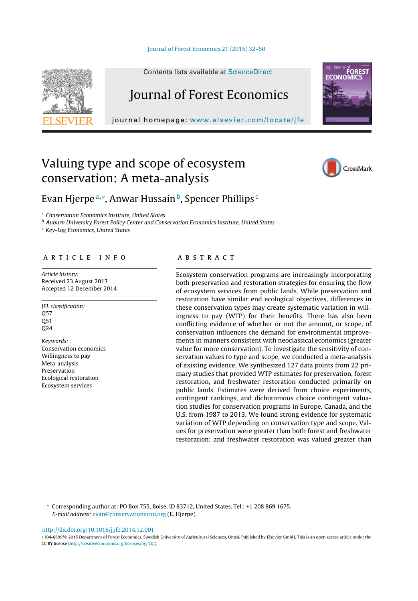

Contents lists available at [ScienceDirect](http://www.sciencedirect.com/science/journal/11046899)

## Journal of Forest Economics

journal homepage: [www.elsevier.com/locate/jfe](http://www.elsevier.com/locate/jfe)

# Valuing type and scope of ecosystem conservation: A meta-analysis



ORES

ECONIO

## Evan Hjerpeª,\*, Anwar Hussain<sup>b</sup>, Spencer Phillips <sup>c</sup>

<sup>a</sup> Conservation Economics Institute, United States

**b** Auburn University Forest Policy Center and Conservation Economics Institute, United States

<sup>c</sup> Key-Log Economics, United States

## a r t i c l e i n f o

Article history: Received 23 August 2013 Accepted 12 December 2014

JEL classification: Q57 Q51 Q24

Keywords: Conservation economics Willingness to pay Meta-analysis Preservation Ecological restoration Ecosystem services

## a b s t r a c t

Ecosystem conservation programs are increasingly incorporating both preservation and restoration strategies for ensuring the flow of ecosystem services from public lands. While preservation and restoration have similar end ecological objectives, differences in these conservation types may create systematic variation in willingness to pay (WTP) for their benefits. There has also been conflicting evidence of whether or not the amount, or scope, of conservation influences the demand for environmental improvements in manners consistent with neoclassical economics (greater value for more conservation). To investigate the sensitivity of conservation values to type and scope, we conducted a meta-analysis of existing evidence. We synthesized 127 data points from 22 primary studies that provided WTP estimates for preservation, forest restoration, and freshwater restoration conducted primarily on public lands. Estimates were derived from choice experiments, contingent rankings, and dichotomous choice contingent valuation studies for conservation programs in Europe, Canada, and the U.S. from 1987 to 2013. We found strong evidence for systematic variation of WTP depending on conservation type and scope. Values for preservation were greater than both forest and freshwater restoration; and freshwater restoration was valued greater than

∗ Corresponding author at: PO Box 755, Boise, ID 83712, United States. Tel.: +1 208 869 1675. E-mail address: [evan@conservationecon.org](mailto:evan@conservationecon.org) (E. Hjerpe).

[http://dx.doi.org/10.1016/j.jfe.2014.12.001](dx.doi.org/10.1016/j.jfe.2014.12.001)

1104-6899/© 2015 Department of Forest Economics, Swedish University of Agricultural Sciences, Umeå. Published by Elsevier GmbH. This is an open access article under the CC BY license [\(http://creativecommons.org/licenses/by/4.0/](http://creativecommons.org/licenses/by/4.0/)).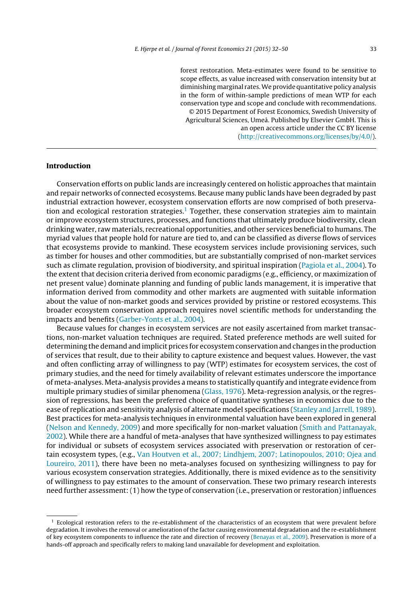forest restoration. Meta-estimates were found to be sensitive to scope effects, as value increased with conservation intensity but at diminishing marginal rates.We provide quantitative policy analysis in the form of within-sample predictions of mean WTP for each conservation type and scope and conclude with recommendations. © 2015 Department of Forest Economics, Swedish University of Agricultural Sciences, Umeå. Published by Elsevier GmbH. This is an open access article under the CC BY license [\(http://creativecommons.org/licenses/by/4.0/](http://creativecommons.org/licenses/by/4.0/)).

## **Introduction**

Conservation efforts on public lands are increasingly centered on holistic approaches that maintain and repair networks of connected ecosystems. Because many public lands have been degraded by past industrial extraction however, ecosystem conservation efforts are now comprised of both preservation and ecological restoration strategies.<sup>1</sup> Together, these conservation strategies aim to maintain or improve ecosystem structures, processes, and functions that ultimately produce biodiversity, clean drinking water, raw materials, recreational opportunities, and other services beneficialto humans. The myriad values that people hold for nature are tied to, and can be classified as diverse flows of services that ecosystems provide to mankind. These ecosystem services include provisioning services, such as timber for houses and other commodities, but are substantially comprised of non-market services such as climate regulation, provision of biodiversity, and spiritual inspiration [\(Pagiola](#page-18-0) et [al.,](#page-18-0) [2004\).](#page-18-0) To the extent that decision criteria derived from economic paradigms (e.g., efficiency, or maximization of net present value) dominate planning and funding of public lands management, it is imperative that information derived from commodity and other markets are augmented with suitable information about the value of non-market goods and services provided by pristine or restored ecosystems. This broader ecosystem conservation approach requires novel scientific methods for understanding the impacts and benefits ([Garber-Yonts](#page-17-0) et [al.,](#page-17-0) [2004\).](#page-17-0)

Because values for changes in ecosystem services are not easily ascertained from market transactions, non-market valuation techniques are required. Stated preference methods are well suited for determining the demand and implicit prices for ecosystem conservation and changes in the production of services that result, due to their ability to capture existence and bequest values. However, the vast and often conflicting array of willingness to pay (WTP) estimates for ecosystem services, the cost of primary studies, and the need for timely availability of relevant estimates underscore the importance of meta-analyses. Meta-analysis provides a means to statistically quantify and integrate evidence from multiple primary studies of similar phenomena ([Glass,](#page-17-0) [1976\).](#page-17-0) Meta-regression analysis, or the regression of regressions, has been the preferred choice of quantitative syntheses in economics due to the ease of replication and sensitivity analysis of alternate model specifications ([Stanley](#page-18-0) [and](#page-18-0) [Jarrell,](#page-18-0) [1989\).](#page-18-0) Best practices for meta-analysis techniques in environmental valuation have been explored in general [\(Nelson](#page-17-0) [and](#page-17-0) [Kennedy,](#page-17-0) [2009\)](#page-17-0) and more specifically for non-market valuation [\(Smith](#page-18-0) [and](#page-18-0) [Pattanayak,](#page-18-0) [2002\).](#page-18-0) While there are a handful of meta-analyses that have synthesized willingness to pay estimates for individual or subsets of ecosystem services associated with preservation or restoration of certain ecosystem types, (e.g., [Van](#page-18-0) [Houtven](#page-18-0) et [al.,](#page-18-0) [2007;](#page-18-0) [Lindhjem,](#page-18-0) [2007;](#page-18-0) [Latinopoulos,](#page-18-0) [2010;](#page-18-0) [Ojea](#page-18-0) [and](#page-18-0) [Loureiro,](#page-18-0) [2011\),](#page-18-0) there have been no meta-analyses focused on synthesizing willingness to pay for various ecosystem conservation strategies. Additionally, there is mixed evidence as to the sensitivity of willingness to pay estimates to the amount of conservation. These two primary research interests need further assessment: (1) how the type of conservation (i.e., preservation or restoration) influences

 $<sup>1</sup>$  Ecological restoration refers to the re-establishment of the characteristics of an ecosystem that were prevalent before</sup> degradation. It involves the removal or amelioration of the factor causing environmental degradation and the re-establishment of key ecosystem components to influence the rate and direction of recovery [\(Benayas](#page-16-0) et [al.,](#page-16-0) [2009\).](#page-16-0) Preservation is more of a hands-off approach and specifically refers to making land unavailable for development and exploitation.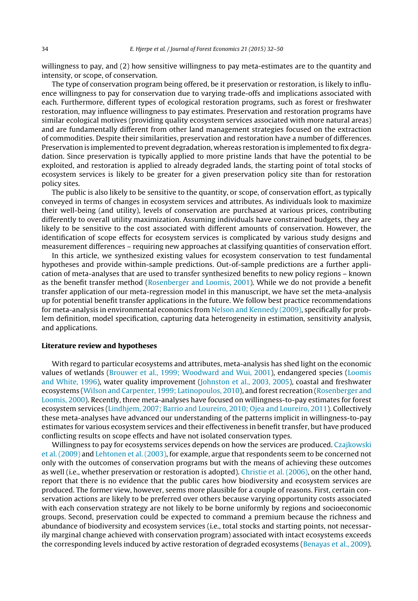willingness to pay, and (2) how sensitive willingness to pay meta-estimates are to the quantity and intensity, or scope, of conservation.

The type of conservation program being offered, be it preservation or restoration, is likely to influence willingness to pay for conservation due to varying trade-offs and implications associated with each. Furthermore, different types of ecological restoration programs, such as forest or freshwater restoration, may influence willingness to pay estimates. Preservation and restoration programs have similar ecological motives (providing quality ecosystem services associated with more natural areas) and are fundamentally different from other land management strategies focused on the extraction of commodities. Despite their similarities, preservation and restoration have a number of differences. Preservation is implemented to prevent degradation, whereas restoration is implemented to fix degradation. Since preservation is typically applied to more pristine lands that have the potential to be exploited, and restoration is applied to already degraded lands, the starting point of total stocks of ecosystem services is likely to be greater for a given preservation policy site than for restoration policy sites.

The public is also likely to be sensitive to the quantity, or scope, of conservation effort, as typically conveyed in terms of changes in ecosystem services and attributes. As individuals look to maximize their well-being (and utility), levels of conservation are purchased at various prices, contributing differently to overall utility maximization. Assuming individuals have constrained budgets, they are likely to be sensitive to the cost associated with different amounts of conservation. However, the identification of scope effects for ecosystem services is complicated by various study designs and measurement differences – requiring new approaches at classifying quantities of conservation effort.

In this article, we synthesized existing values for ecosystem conservation to test fundamental hypotheses and provide within-sample predictions. Out-of-sample predictions are a further application of meta-analyses that are used to transfer synthesized benefits to new policy regions – known as the benefit transfer method [\(Rosenberger](#page-18-0) [and](#page-18-0) [Loomis,](#page-18-0) [2001\).](#page-18-0) While we do not provide a benefit transfer application of our meta-regression model in this manuscript, we have set the meta-analysis up for potential benefit transfer applications in the future. We follow best practice recommendations for meta-analysis in environmental economics from [Nelson](#page-17-0) [and](#page-17-0) [Kennedy](#page-17-0) [\(2009\),](#page-17-0) specifically for problem definition, model specification, capturing data heterogeneity in estimation, sensitivity analysis, and applications.

## **Literature review and hypotheses**

With regard to particular ecosystems and attributes, meta-analysis has shed light on the economic values of wetlands [\(Brouwer](#page-17-0) et [al.,](#page-17-0) [1999;](#page-17-0) [Woodward](#page-17-0) [and](#page-17-0) [Wui,](#page-17-0) [2001\),](#page-17-0) endangered species ([Loomis](#page-17-0) [and](#page-17-0) [White,](#page-17-0) [1996\),](#page-17-0) water quality improvement [\(Johnston](#page-17-0) et [al.,](#page-17-0) [2003,](#page-17-0) [2005\),](#page-17-0) coastal and freshwater ecosystems [\(Wilson](#page-18-0) [and](#page-18-0) [Carpenter,](#page-18-0) [1999;](#page-18-0) [Latinopoulos,](#page-18-0) [2010\),](#page-18-0) and forest recreation ([Rosenberger](#page-18-0) [and](#page-18-0) [Loomis,](#page-18-0) [2000\).](#page-18-0) Recently, three meta-analyses have focused on willingness-to-pay estimates for forest ecosystem services ([Lindhjem,](#page-17-0) [2007;](#page-17-0) [Barrio](#page-17-0) [and](#page-17-0) [Loureiro,](#page-17-0) [2010;](#page-17-0) [Ojea](#page-17-0) [and](#page-17-0) [Loureiro,](#page-17-0) [2011\).](#page-17-0) Collectively these meta-analyses have advanced our understanding of the patterns implicit in willingness-to-pay estimates for various ecosystem services and their effectiveness in benefit transfer, but have produced conflicting results on scope effects and have not isolated conservation types.

Willingness to pay for ecosystems services depends on how the services are produced. [Czajkowski](#page-17-0) et [al.](#page-17-0) [\(2009\)](#page-17-0) and [Lehtonen](#page-17-0) et [al.](#page-17-0) [\(2003\),](#page-17-0) for example, argue that respondents seem to be concerned not only with the outcomes of conservation programs but with the means of achieving these outcomes as well (i.e., whether preservation or restoration is adopted). [Christie](#page-17-0) et [al.](#page-17-0) [\(2006\),](#page-17-0) on the other hand, report that there is no evidence that the public cares how biodiversity and ecosystem services are produced. The former view, however, seems more plausible for a couple of reasons. First, certain conservation actions are likely to be preferred over others because varying opportunity costs associated with each conservation strategy are not likely to be borne uniformly by regions and socioeconomic groups. Second, preservation could be expected to command a premium because the richness and abundance of biodiversity and ecosystem services (i.e., total stocks and starting points, not necessarily marginal change achieved with conservation program) associated with intact ecosystems exceeds the corresponding levels induced by active restoration of degraded ecosystems [\(Benayas](#page-16-0) et [al.,](#page-16-0) [2009\).](#page-16-0)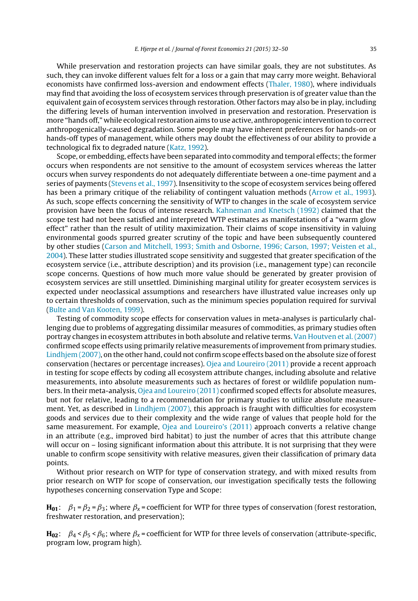<span id="page-3-0"></span>While preservation and restoration projects can have similar goals, they are not substitutes. As such, they can invoke different values felt for a loss or a gain that may carry more weight. Behavioral economists have confirmed loss-aversion and endowment effects [\(Thaler,](#page-18-0) [1980\),](#page-18-0) where individuals may find that avoiding the loss of ecosystem services through preservation is of greater value than the equivalent gain of ecosystem services through restoration. Other factors may also be in play, including the differing levels of human intervention involved in preservation and restoration. Preservation is more "hands off," while ecological restoration aims to use active, anthropogenic intervention to correct anthropogenically-caused degradation. Some people may have inherent preferences for hands-on or hands-off types of management, while others may doubt the effectiveness of our ability to provide a technological fix to degraded nature [\(Katz,](#page-17-0) [1992\).](#page-17-0)

Scope, or embedding, effects have been separated into commodity and temporal effects; the former occurs when respondents are not sensitive to the amount of ecosystem services whereas the latter occurs when survey respondents do not adequately differentiate between a one-time payment and a series of payments ([Stevens](#page-18-0) et [al.,](#page-18-0) [1997\).](#page-18-0) Insensitivity to the scope of ecosystem services being offered has been a primary critique of the reliability of contingent valuation methods [\(Arrow](#page-16-0) et [al.,](#page-16-0) [1993\).](#page-16-0) As such, scope effects concerning the sensitivity of WTP to changes in the scale of ecosystem service provision have been the focus of intense research. [Kahneman](#page-17-0) [and](#page-17-0) [Knetsch](#page-17-0) [\(1992\)](#page-17-0) claimed that the scope test had not been satisfied and interpreted WTP estimates as manifestations of a "warm glow effect" rather than the result of utility maximization. Their claims of scope insensitivity in valuing environmental goods spurred greater scrutiny of the topic and have been subsequently countered by other studies ([Carson](#page-17-0) [and](#page-17-0) [Mitchell,](#page-17-0) [1993;](#page-17-0) [Smith](#page-17-0) [and](#page-17-0) [Osborne,](#page-17-0) [1996;](#page-17-0) [Carson,](#page-17-0) [1997;](#page-17-0) [Veisten](#page-17-0) et [al.,](#page-17-0) [2004\).](#page-17-0) These latter studies illustrated scope sensitivity and suggested that greater specification of the ecosystem service (i.e., attribute description) and its provision (i.e., management type) can reconcile scope concerns. Questions of how much more value should be generated by greater provision of ecosystem services are still unsettled. Diminishing marginal utility for greater ecosystem services is expected under neoclassical assumptions and researchers have illustrated value increases only up to certain thresholds of conservation, such as the minimum species population required for survival [\(Bulte](#page-17-0) [and](#page-17-0) [Van](#page-17-0) [Kooten,](#page-17-0) [1999\).](#page-17-0)

Testing of commodity scope effects for conservation values in meta-analyses is particularly challenging due to problems of aggregating dissimilar measures of commodities, as primary studies often portray changes in ecosystem attributes in both absolute and relative terms. [Van](#page-18-0) [Houtven](#page-18-0) et [al.](#page-18-0) [\(2007\)](#page-18-0) confirmed scope effects using primarily relative measurements of improvementfrom primary studies. [Lindhjem](#page-17-0) [\(2007\),](#page-17-0) on the other hand, could not confirm scope effects based on the absolute size of forest conservation (hectares or percentage increases). [Ojea](#page-18-0) [and](#page-18-0) [Loureiro](#page-18-0) [\(2011\)](#page-18-0) provide a recent approach in testing for scope effects by coding all ecosystem attribute changes, including absolute and relative measurements, into absolute measurements such as hectares of forest or wildlife population numbers. In their meta-analysis, [Ojea](#page-18-0) [and](#page-18-0) [Loureiro](#page-18-0) [\(2011\)](#page-18-0) confirmed scoped effects for absolute measures, but not for relative, leading to a recommendation for primary studies to utilize absolute measurement. Yet, as described in [Lindhjem](#page-17-0) [\(2007\),](#page-17-0) this approach is fraught with difficulties for ecosystem goods and services due to their complexity and the wide range of values that people hold for the same measurement. For example, [Ojea](#page-18-0) [and](#page-18-0) [Loureiro's](#page-18-0) [\(2011\)](#page-18-0) approach converts a relative change in an attribute (e.g., improved bird habitat) to just the number of acres that this attribute change will occur on – losing significant information about this attribute. It is not surprising that they were unable to confirm scope sensitivity with relative measures, given their classification of primary data points.

Without prior research on WTP for type of conservation strategy, and with mixed results from prior research on WTP for scope of conservation, our investigation specifically tests the following hypotheses concerning conservation Type and Scope:

 $H_{01}$ :  $\beta_1 = \beta_2 = \beta_3$ ; where  $\beta_x$  = coefficient for WTP for three types of conservation (forest restoration, freshwater restoration, and preservation);

 $H_{02}$ :  $\beta_4 < \beta_5 < \beta_6$ ; where  $\beta_8$  = coefficient for WTP for three levels of conservation (attribute-specific, program low, program high).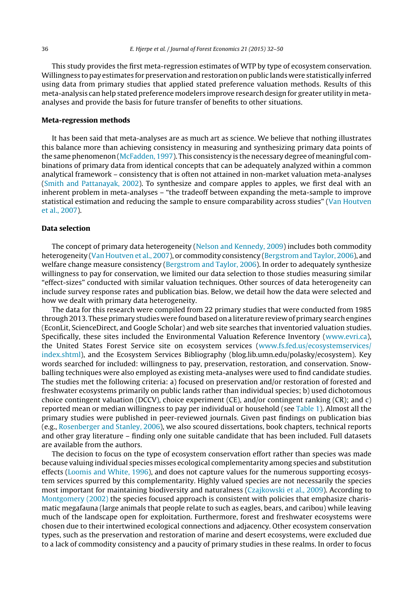This study provides the first meta-regression estimates of WTP by type of ecosystem conservation. Willingness to pay estimates for preservationand restorationonpublic lands were statistically inferred using data from primary studies that applied stated preference valuation methods. Results of this meta-analysis can help stated preference modelers improve research design for greater utility in metaanalyses and provide the basis for future transfer of benefits to other situations.

#### **Meta-regression methods**

It has been said that meta-analyses are as much art as science. We believe that nothing illustrates this balance more than achieving consistency in measuring and synthesizing primary data points of the same phenomenon [\(McFadden,](#page-17-0) [1997\).](#page-17-0) This consistency is the necessary degree of meaningful combinations of primary data from identical concepts that can be adequately analyzed within a common analytical framework – consistency that is often not attained in non-market valuation meta-analyses ([Smith](#page-18-0) [and](#page-18-0) [Pattanayak,](#page-18-0) [2002\).](#page-18-0) To synthesize and compare apples to apples, we first deal with an inherent problem in meta-analyses – "the tradeoff between expanding the meta-sample to improve statistical estimation and reducing the sample to ensure comparability across studies" ([Van](#page-18-0) [Houtven](#page-18-0) et [al.,](#page-18-0) [2007\).](#page-18-0)

## **Data selection**

The concept of primary data heterogeneity ([Nelson](#page-17-0) [and](#page-17-0) [Kennedy,](#page-17-0) [2009\)](#page-17-0) includes both commodity heterogeneity ([Van](#page-18-0) [Houtven](#page-18-0) et [al.,](#page-18-0) [2007\),](#page-18-0) or commodity consistency [\(Bergstrom](#page-17-0) [and](#page-17-0) [Taylor,](#page-17-0) [2006\),](#page-17-0) and welfare change measure consistency ([Bergstrom](#page-17-0) [and](#page-17-0) [Taylor,](#page-17-0) [2006\).](#page-17-0) In order to adequately synthesize willingness to pay for conservation, we limited our data selection to those studies measuring similar "effect-sizes" conducted with similar valuation techniques. Other sources of data heterogeneity can include survey response rates and publication bias. Below, we detail how the data were selected and how we dealt with primary data heterogeneity.

The data for this research were compiled from 22 primary studies that were conducted from 1985 through 2013. These primary studies were found based on a literature review of primary search engines (EconLit, ScienceDirect, and Google Scholar) and web site searches that inventoried valuation studies. Specifically, these sites included the Environmental Valuation Reference Inventory [\(www.evri.ca](http://www.evri.ca/)), the United States Forest Service site on ecosystem services ([www.fs.fed.us/ecosystemservices/](http://www.fs.fed.us/ecosystemservices/index.shtml) [index.shtml](http://www.fs.fed.us/ecosystemservices/index.shtml)), and the Ecosystem Services Bibliography (blog.lib.umn.edu/polasky/ecosystem). Key words searched for included: willingness to pay, preservation, restoration, and conservation. Snowballing techniques were also employed as existing meta-analyses were used to find candidate studies. The studies met the following criteria: a) focused on preservation and/or restoration of forested and freshwater ecosystems primarily on public lands rather than individual species; b) used dichotomous choice contingent valuation (DCCV), choice experiment (CE), and/or contingent ranking (CR); and c) reported mean or median willingness to pay per individual or household (see [Table](#page-5-0) 1). Almost all the primary studies were published in peer-reviewed journals. Given past findings on publication bias (e.g., [Rosenberger](#page-18-0) [and](#page-18-0) [Stanley,](#page-18-0) [2006\),](#page-18-0) we also scoured dissertations, book chapters, technical reports and other gray literature – finding only one suitable candidate that has been included. Full datasets are available from the authors.

The decision to focus on the type of ecosystem conservation effort rather than species was made because valuing individual species misses ecological complementarity among species and substitution effects [\(Loomis](#page-17-0) [and](#page-17-0) [White,](#page-17-0) [1996\),](#page-17-0) and does not capture values for the numerous supporting ecosystem services spurred by this complementarity. Highly valued species are not necessarily the species most important for maintaining biodiversity and naturalness ([Czajkowski](#page-17-0) et [al.,](#page-17-0) [2009\).](#page-17-0) According to [Montgomery](#page-17-0) [\(2002\)](#page-17-0) the species focused approach is consistent with policies that emphasize charismatic megafauna (large animals that people relate to such as eagles, bears, and caribou) while leaving much of the landscape open for exploitation. Furthermore, forest and freshwater ecosystems were chosen due to their intertwined ecological connections and adjacency. Other ecosystem conservation types, such as the preservation and restoration of marine and desert ecosystems, were excluded due to a lack of commodity consistency and a paucity of primary studies in these realms. In order to focus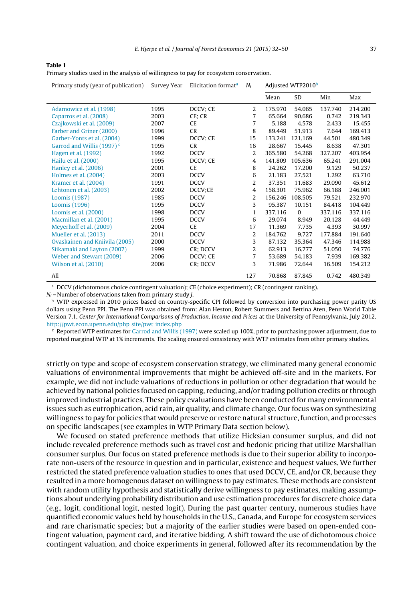<span id="page-5-0"></span>

| Primary studies used in the analysis of willingness to pay for ecosystem conservation. |  |  |  |  |
|----------------------------------------------------------------------------------------|--|--|--|--|
|----------------------------------------------------------------------------------------|--|--|--|--|

| Primary study (year of publication) | Survey Year | Elicitation format <sup>a</sup> | $N_i$          | Adjusted WTP2010 <sup>b</sup> |          |         |         |
|-------------------------------------|-------------|---------------------------------|----------------|-------------------------------|----------|---------|---------|
|                                     |             |                                 |                | Mean                          | SD       | Min     | Max     |
| Adamowicz et al. (1998)             | 1995        | DCCV; CE                        | 2              | 175.970                       | 54.065   | 137.740 | 214.200 |
| Caparros et al. (2008)              | 2003        | CE: CR                          | 7              | 65.664                        | 90.686   | 0.742   | 219.343 |
| Czajkowski et al. (2009)            | 2007        | <b>CE</b>                       | 7              | 5.188                         | 4.578    | 2.433   | 15.455  |
| Farber and Griner (2000)            | 1996        | <b>CR</b>                       | 8              | 89.449                        | 51.913   | 7.644   | 169.413 |
| Garber-Yonts et al. (2004)          | 1999        | DCCV: CE                        | 15             | 133.241                       | 121.169  | 44.501  | 480.349 |
| Garrod and Willis (1997) $\epsilon$ | 1995        | <b>CR</b>                       | 16             | 28.667                        | 15.445   | 8.638   | 47.301  |
| Hagen et al. (1992)                 | 1992        | <b>DCCV</b>                     | 2              | 365.580                       | 54.268   | 327.207 | 403.954 |
| Hailu et al. (2000)                 | 1995        | DCCV: CE                        | 4              | 141.809                       | 105.636  | 65.241  | 291.004 |
| Hanley et al. (2006)                | 2001        | CE.                             | 8              | 24.262                        | 17.200   | 9.129   | 50.237  |
| Holmes et al. (2004)                | 2003        | <b>DCCV</b>                     | 6              | 21.183                        | 27.521   | 1.292   | 63.710  |
| Kramer et al. (2004)                | 1991        | <b>DCCV</b>                     | 2              | 37.351                        | 11.683   | 29.090  | 45.612  |
| Lehtonen et al. (2003)              | 2002        | DCCV;CE                         | $\overline{4}$ | 158.301                       | 75.962   | 66.188  | 246.001 |
| Loomis (1987)                       | 1985        | <b>DCCV</b>                     | $\overline{2}$ | 156.246                       | 108.505  | 79.521  | 232.970 |
| Loomis (1996)                       | 1995        | <b>DCCV</b>                     | 3              | 95.387                        | 10.151   | 84.418  | 104.449 |
| Loomis et al. (2000)                | 1998        | <b>DCCV</b>                     | 1              | 337.116                       | $\bf{0}$ | 337.116 | 337.116 |
| Macmillan et al. (2001)             | 1995        | <b>DCCV</b>                     | 6              | 29.074                        | 8.949    | 20.128  | 44.449  |
| Meyerhoff et al. (2009)             | 2004        | <b>CE</b>                       | 17             | 11.369                        | 7.735    | 4.393   | 30.997  |
| Mueller et al. (2013)               | 2011        | <b>DCCV</b>                     | 2              | 184.762                       | 9.727    | 177.884 | 191.640 |
| Ovaskainen and Kniivila (2005)      | 2000        | <b>DCCV</b>                     | 3              | 87.132                        | 35.364   | 47.346  | 114.988 |
| Siikamaki and Layton (2007)         | 1999        | CR; DCCV                        | 2              | 62.913                        | 16.777   | 51.050  | 74.776  |
| Weber and Stewart (2009)            | 2006        | DCCV; CE                        | 7              | 53.689                        | 54.183   | 7.939   | 169.382 |
| Wilson et al. (2010)                | 2006        | CR: DCCV                        | 3              | 71.986                        | 72.644   | 16.509  | 154.212 |
| All                                 |             |                                 | 127            | 70.868                        | 87.845   | 0.742   | 480.349 |

<sup>a</sup> DCCV (dichotomous choice contingent valuation); CE (choice experiment); CR (contingent ranking).

 $N_i$  = Number of observations taken from primary study *j*.

<sup>b</sup> WTP expressed in 2010 prices based on country-specific CPI followed by conversion into purchasing power parity US dollars using Penn PPI. The Penn PPI was obtained from: Alan Heston, Robert Summers and Bettina Aten, Penn World Table Version 7.1, Center for International Comparisons of Production, Income and Prices at the University of Pennsylvania, July 2012. [http://pwt.econ.upenn.edu/php](http://pwt.econ.upenn.edu/php_site/pwt_index.php) site/pwt index.php

 $c$  Reported WTP estimates for [Garrod](#page-17-0) [and](#page-17-0) [Willis](#page-17-0) [\(1997\)](#page-17-0) were scaled up 100%, prior to purchasing power adjustment, due to reported marginal WTP at 1% increments. The scaling ensured consistency with WTP estimates from other primary studies.

strictly on type and scope of ecosystem conservation strategy, we eliminated many general economic valuations of environmental improvements that might be achieved off-site and in the markets. For example, we did not include valuations of reductions in pollution or other degradation that would be achieved by national policies focused on capping, reducing, and/or trading pollution credits or through improved industrial practices. These policy evaluations have been conducted for many environmental issues such as eutrophication, acid rain, air quality, and climate change. Our focus was on synthesizing willingness to pay for policies that would preserve or restore natural structure, function, and processes on specific landscapes (see examples in WTP Primary Data section below).

We focused on stated preference methods that utilize Hicksian consumer surplus, and did not include revealed preference methods such as travel cost and hedonic pricing that utilize Marshallian consumer surplus. Our focus on stated preference methods is due to their superior ability to incorporate non-users of the resource in question and in particular, existence and bequest values. We further restricted the stated preference valuation studies to ones that used DCCV, CE, and/or CR, because they resulted in a more homogenous dataset on willingness to pay estimates. These methods are consistent with random utility hypothesis and statistically derive willingness to pay estimates, making assumptions about underlying probability distribution and use estimation procedures for discrete choice data (e.g., logit, conditional logit, nested logit). During the past quarter century, numerous studies have quantified economic values held by households in the U.S., Canada, and Europe for ecosystem services and rare charismatic species; but a majority of the earlier studies were based on open-ended contingent valuation, payment card, and iterative bidding. A shift toward the use of dichotomous choice contingent valuation, and choice experiments in general, followed after its recommendation by the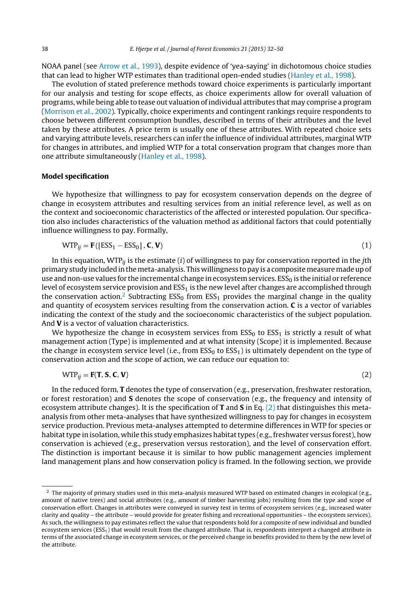NOAA panel (see [Arrow](#page-16-0) et [al.,](#page-16-0) [1993\),](#page-16-0) despite evidence of 'yea-saying' in dichotomous choice studies that can lead to higher WTP estimates than traditional open-ended studies ([Hanley](#page-17-0) et [al.,](#page-17-0) [1998\).](#page-17-0)

The evolution of stated preference methods toward choice experiments is particularly important for our analysis and testing for scope effects, as choice experiments allow for overall valuation of programs, while being able to tease out valuation of individual attributes that may comprise a program ([Morrison](#page-17-0) et [al.,](#page-17-0) [2002\).](#page-17-0) Typically, choice experiments and contingent rankings require respondents to choose between different consumption bundles, described in terms of their attributes and the level taken by these attributes. A price term is usually one of these attributes. With repeated choice sets and varying attribute levels, researchers can infer the influence of individual attributes, marginal WTP for changes in attributes, and implied WTP for a total conservation program that changes more than one attribute simultaneously [\(Hanley](#page-17-0) et [al.,](#page-17-0) [1998\).](#page-17-0)

## **Model specification**

We hypothesize that willingness to pay for ecosystem conservation depends on the degree of change in ecosystem attributes and resulting services from an initial reference level, as well as on the context and socioeconomic characteristics of the affected or interested population. Our specification also includes characteristics of the valuation method as additional factors that could potentially influence willingness to pay. Formally,

$$
WTP_{ij} = \mathbf{F}([ESS_1 - ESS_0], \mathbf{C}, \mathbf{V})
$$
\n(1)

In this equation,  $WTP_{ij}$  is the estimate (i) of willingness to pay for conservation reported in the jth primary study included in the meta-analysis. This willingness to pay is a composite measure made up of use and non-use values for the incremental change in ecosystem services.  $ESS_0$  is the initial or reference level of ecosystem service provision and  $ESS<sub>1</sub>$  is the new level after changes are accomplished through the conservation action.<sup>2</sup> Subtracting ESS<sub>0</sub> from ESS<sub>1</sub> provides the marginal change in the quality and quantity of ecosystem services resulting from the conservation action. **C** is a vector of variables indicating the context of the study and the socioeconomic characteristics of the subject population. And **V** is a vector of valuation characteristics.

We hypothesize the change in ecosystem services from  $ESS<sub>0</sub>$  to  $ESS<sub>1</sub>$  is strictly a result of what management action (Type) is implemented and at what intensity (Scope) it is implemented. Because the change in ecosystem service level (i.e., from  $ESS_0$  to  $ESS_1$ ) is ultimately dependent on the type of conservation action and the scope of action, we can reduce our equation to:

$$
WTP_{ij} = F(T, S, C, V) \tag{2}
$$

In the reduced form, **T** denotes the type of conservation (e.g., preservation, freshwater restoration, or forest restoration) and **S** denotes the scope of conservation (e.g., the frequency and intensity of ecosystem attribute changes). It is the specification of **T** and **S** in Eq. (2) that distinguishes this metaanalysis from other meta-analyses that have synthesized willingness to pay for changes in ecosystem service production. Previous meta-analyses attempted to determine differences in WTP for species or habitat type in isolation, while this study emphasizes habitat types (e.g., freshwater versus forest), how conservation is achieved (e.g., preservation versus restoration), and the level of conservation effort. The distinction is important because it is similar to how public management agencies implement land management plans and how conservation policy is framed. In the following section, we provide

<sup>&</sup>lt;sup>2</sup> The majority of primary studies used in this meta-analysis measured WTP based on estimated changes in ecological (e.g., amount of native trees) and social attributes (e.g., amount of timber harvesting jobs) resulting from the type and scope of conservation effort. Changes in attributes were conveyed in survey text in terms of ecosystem services (e.g., increased water clarity and quality – the attribute – would provide for greater fishing and recreational opportunities – the ecosystem services). As such, the willingness to pay estimates reflect the value that respondents hold for a composite of new individual and bundled ecosystem services (ESS<sub>1</sub>) that would result from the changed attribute. That is, respondents interpret a changed attribute in terms of the associated change in ecosystem services, or the perceived change in benefits provided to them by the new level of the attribute.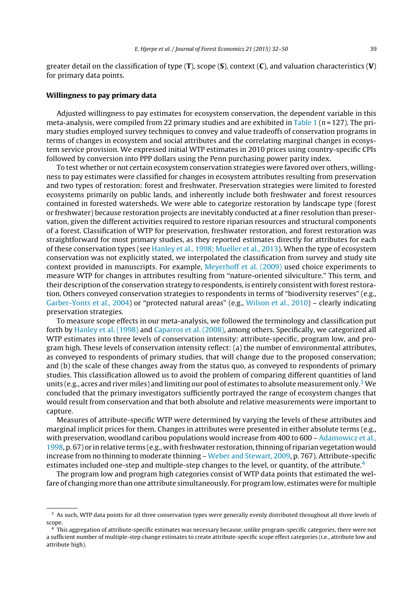greater detail on the classification of type (**T**), scope (**S**), context (**C**), and valuation characteristics (**V**) for primary data points.

## **Willingness to pay primary data**

Adjusted willingness to pay estimates for ecosystem conservation, the dependent variable in this meta-analysis, were compiled from 22 primary studies and are exhibited in [Table](#page-5-0) 1 ( $n = 127$ ). The primary studies employed survey techniques to convey and value tradeoffs of conservation programs in terms of changes in ecosystem and social attributes and the correlating marginal changes in ecosystem service provision. We expressed initial WTP estimates in 2010 prices using country-specific CPIs followed by conversion into PPP dollars using the Penn purchasing power parity index.

To test whether or not certain ecosystem conservation strategies were favored over others, willingness to pay estimates were classified for changes in ecosystem attributes resulting from preservation and two types of restoration: forest and freshwater. Preservation strategies were limited to forested ecosystems primarily on public lands, and inherently include both freshwater and forest resources contained in forested watersheds. We were able to categorize restoration by landscape type (forest or freshwater) because restoration projects are inevitably conducted at a finer resolution than preservation, given the different activities required to restore riparian resources and structural components of a forest. Classification of WTP for preservation, freshwater restoration, and forest restoration was straightforward for most primary studies, as they reported estimates directly for attributes for each of these conservation types (see [Hanley](#page-17-0) et [al.,](#page-17-0) [1998;](#page-17-0) [Mueller](#page-17-0) et [al.,](#page-17-0) [2013\).](#page-17-0) When the type of ecosystem conservation was not explicitly stated, we interpolated the classification from survey and study site context provided in manuscripts. For example, [Meyerhoff](#page-17-0) et [al.](#page-17-0) [\(2009\)](#page-17-0) used choice experiments to measure WTP for changes in attributes resulting from "nature-oriented silviculture." This term, and their description ofthe conservation strategy to respondents, is entirely consistent with forest restoration. Others conveyed conservation strategies to respondents in terms of "biodiversity reserves" (e.g., [Garber-Yonts](#page-17-0) et [al.,](#page-17-0) [2004\)](#page-17-0) or "protected natural areas" (e.g., [Wilson](#page-18-0) et [al.,](#page-18-0) [2010\)](#page-18-0) – clearly indicating preservation strategies.

To measure scope effects in our meta-analysis, we followed the terminology and classification put forth by [Hanley](#page-17-0) et [al.](#page-17-0) [\(1998\)](#page-17-0) and [Caparros](#page-17-0) et [al.](#page-17-0) [\(2008\),](#page-17-0) among others. Specifically, we categorized all WTP estimates into three levels of conservation intensity: attribute-specific, program low, and program high. These levels of conservation intensity reflect: (a) the number of environmental attributes, as conveyed to respondents of primary studies, that will change due to the proposed conservation; and (b) the scale of these changes away from the status quo, as conveyed to respondents of primary studies. This classification allowed us to avoid the problem of comparing different quantities of land units (e.g., acres and river miles) and limiting our pool of estimates to absolute measurement only.<sup>3</sup> We concluded that the primary investigators sufficiently portrayed the range of ecosystem changes that would result from conservation and that both absolute and relative measurements were important to capture.

Measures of attribute-specific WTP were determined by varying the levels of these attributes and marginal implicit prices for them. Changes in attributes were presented in either absolute terms (e.g., with preservation, woodland caribou populations would increase from 400 to 600 – [Adamowicz](#page-16-0) et [al.,](#page-16-0) [1998,](#page-16-0) p. 67) or in relative terms (e.g., with freshwater restoration,thinning of riparian vegetation would increase from no thinning to moderate thinning – [Weber](#page-18-0) [and](#page-18-0) [Stewart,](#page-18-0) [2009,](#page-18-0) p. 767). Attribute-specific estimates included one-step and multiple-step changes to the level, or quantity, of the attribute. $4$ 

The program low and program high categories consist of WTP data points that estimated the welfare of changing more than one attribute simultaneously. For program low, estimates were for multiple

<sup>&</sup>lt;sup>3</sup> As such, WTP data points for all three conservation types were generally evenly distributed throughout all three levels of scope.

 $4\degree$ This aggregation of attribute-specific estimates was necessary because, unlike program-specific categories, there were not a sufficient number of multiple-step change estimates to create attribute-specific scope effect categories (i.e., attribute low and attribute high).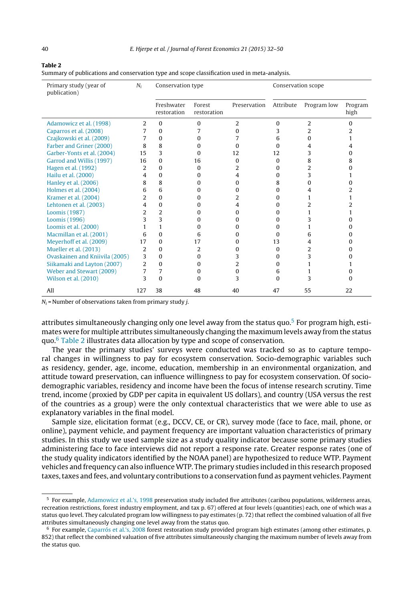Summary of publications and conservation type and scope classification used in meta-analysis.

| Primary study (year of<br>publication) | $N_i$          | Conservation type         |                       |              | Conservation scope |             |                 |  |
|----------------------------------------|----------------|---------------------------|-----------------------|--------------|--------------------|-------------|-----------------|--|
|                                        |                | Freshwater<br>restoration | Forest<br>restoration | Preservation | Attribute          | Program low | Program<br>high |  |
| Adamowicz et al. (1998)                | 2              | $\Omega$                  | $\Omega$              | 2            | $\Omega$           | 2           | $\Omega$        |  |
| Caparros et al. (2008)                 | 7              | $\Omega$                  | 7                     | o            | 3                  | 2           | 2               |  |
| Czajkowski et al. (2009)               | 7              | $\Omega$                  | o                     |              | 6                  | O           |                 |  |
| Farber and Griner (2000)               | 8              | 8                         | o                     | O            | 0                  | 4           | 4               |  |
| Garber-Yonts et al. (2004)             | 15             | 3                         | o                     | 12           | 12                 | 3           | o               |  |
| Garrod and Willis (1997)               | 16             | $\Omega$                  | 16                    | $\Omega$     | o                  | 8           | 8               |  |
| Hagen et al. (1992)                    | 2              | $\Omega$                  | 0                     | 2            | 0                  | 2           | o               |  |
| Hailu et al. (2000)                    | 4              | $\Omega$                  | o                     | 4            | o                  | 3           |                 |  |
| Hanley et al. (2006)                   | 8              | 8                         | 0                     | 0            | 8                  | $\Omega$    | 0               |  |
| Holmes et al. (2004)                   | 6              | 6                         | 0                     | O            | o                  | 4           | 2               |  |
| Kramer et al. (2004)                   | 2              | $\Omega$                  | 0                     | 2            | 0                  |             |                 |  |
| Lehtonen et al. (2003)                 | 4              | $\Omega$                  | o                     | 4            | o                  | 2           | 2               |  |
| Loomis (1987)                          | 2              | $\overline{2}$            | o                     | 0            | 0                  |             |                 |  |
| Loomis (1996)                          | 3              | 3                         | o                     | o            | 0                  | 3           | n               |  |
| Loomis et al. (2000)                   | 1.             | 1                         | o                     | o            | o                  |             | o               |  |
| Macmillan et al. (2001)                | 6              | $\Omega$                  | 6                     | o            | O                  | 6           | n               |  |
| Meyerhoff et al. (2009)                | 17             | $\Omega$                  | 17                    | o            | 13                 | 4           | n               |  |
| Mueller et al. (2013)                  | 2              | $\Omega$                  | 2                     | o            | 0                  | 2           | n               |  |
| Ovaskainen and Kniivila (2005)         | 3              | $\Omega$                  | o                     | 3            | o                  | 3           | n               |  |
| Siikamaki and Layton (2007)            | $\overline{2}$ | $\Omega$                  | o                     | 2            | o                  |             |                 |  |
| Weber and Stewart (2009)               | 7              | 7                         | o                     | 0            | 6                  |             | n               |  |
| Wilson et al. (2010)                   | 3              | $\Omega$                  | U                     | 3            | U                  | 3           | o               |  |
| All                                    | 127            | 38                        | 48                    | 40           | 47                 | 55          | 22              |  |

 $N_i$  = Number of observations taken from primary study *j*.

attributes simultaneously changing only one level away from the status quo.<sup>5</sup> For program high, estimates were for multiple attributes simultaneously changing the maximum levels away from the status quo.6 Table 2 illustrates data allocation by type and scope of conservation.

The year the primary studies' surveys were conducted was tracked so as to capture temporal changes in willingness to pay for ecosystem conservation. Socio-demographic variables such as residency, gender, age, income, education, membership in an environmental organization, and attitude toward preservation, can influence willingness to pay for ecosystem conservation. Of sociodemographic variables, residency and income have been the focus of intense research scrutiny. Time trend, income (proxied by GDP per capita in equivalent US dollars), and country (USA versus the rest of the countries as a group) were the only contextual characteristics that we were able to use as explanatory variables in the final model.

Sample size, elicitation format (e.g., DCCV, CE, or CR), survey mode (face to face, mail, phone, or online), payment vehicle, and payment frequency are important valuation characteristics of primary studies. In this study we used sample size as a study quality indicator because some primary studies administering face to face interviews did not report a response rate. Greater response rates (one of the study quality indicators identified by the NOAA panel) are hypothesized to reduce WTP. Payment vehicles and frequency can also influence WTP. The primary studies included in this research proposed taxes, taxes and fees, and voluntary contributions to a conservation fund as payment vehicles. Payment

<sup>5</sup> For example, [Adamowicz](#page-16-0) et [al.'s,](#page-16-0) [1998](#page-16-0) preservation study included five attributes (caribou populations, wilderness areas, recreation restrictions, forest industry employment, and tax p. 67) offered at four levels (quantities) each, one of which was a status quo level. They calculated program low willingness to pay estimates (p. 72) that reflect the combined valuation of all five attributes simultaneously changing one level away from the status quo.

 $6$  For example, [Caparrós](#page-17-0) et [al.'s,](#page-17-0) [2008](#page-17-0) forest restoration study provided program high estimates (among other estimates, p. 852) that reflect the combined valuation of five attributes simultaneously changing the maximum number of levels away from the status quo.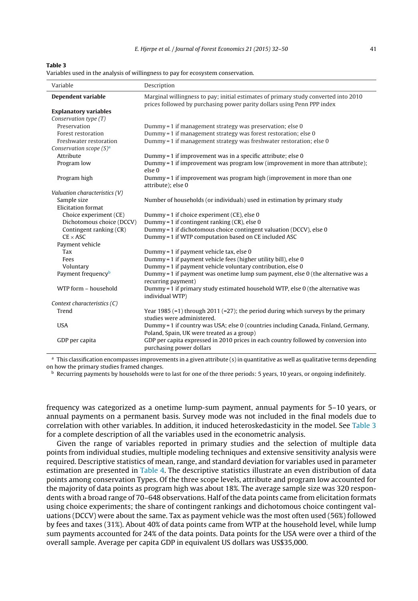Variables used in the analysis of willingness to pay for ecosystem conservation.

| Variable                       | Description                                                                                                                                                    |
|--------------------------------|----------------------------------------------------------------------------------------------------------------------------------------------------------------|
| Dependent variable             | Marginal willingness to pay; initial estimates of primary study converted into 2010<br>prices followed by purchasing power parity dollars using Penn PPP index |
| <b>Explanatory variables</b>   |                                                                                                                                                                |
| Conservation type $(T)$        |                                                                                                                                                                |
| Preservation                   | Dummy = 1 if management strategy was preservation; else 0                                                                                                      |
| Forest restoration             | Dummy = 1 if management strategy was forest restoration; else 0                                                                                                |
| Freshwater restoration         | Dummy = 1 if management strategy was freshwater restoration; else 0                                                                                            |
| Conservation scope $(S)^a$     |                                                                                                                                                                |
| Attribute                      | Dummy = 1 if improvement was in a specific attribute; else 0                                                                                                   |
| Program low                    | Dummy = 1 if improvement was program low (improvement in more than attribute);<br>else <sub>0</sub>                                                            |
| Program high                   | Dummy = 1 if improvement was program high (improvement in more than one<br>attribute); else 0                                                                  |
| Valuation characteristics (V)  |                                                                                                                                                                |
| Sample size                    | Number of households (or individuals) used in estimation by primary study                                                                                      |
| <b>Elicitation format</b>      |                                                                                                                                                                |
| Choice experiment (CE)         | Dummy = 1 if choice experiment (CE), else 0                                                                                                                    |
| Dichotomous choice (DCCV)      | Dummy = 1 if contingent ranking (CR), else 0                                                                                                                   |
| Contingent ranking (CR)        | Dummy = 1 if dichotomous choice contingent valuation (DCCV), else 0                                                                                            |
| $CE \times ASC$                | Dummy = 1 if WTP computation based on CE included ASC                                                                                                          |
| Payment vehicle                |                                                                                                                                                                |
| Tax                            | Dummy = 1 if payment vehicle tax, else 0                                                                                                                       |
| Fees                           | Dummy = 1 if payment vehicle fees (higher utility bill), else 0                                                                                                |
| Voluntary                      | Dummy = 1 if payment vehicle voluntary contribution, else 0                                                                                                    |
| Payment frequency <sup>b</sup> | Dummy = 1 if payment was onetime lump sum payment, else 0 (the alternative was a<br>recurring payment)                                                         |
| WTP form - household           | Dummy = 1 if primary study estimated household WTP, else 0 (the alternative was<br>individual WTP)                                                             |
| Context characteristics (C)    |                                                                                                                                                                |
| Trend                          | Year 1985 (=1) through 2011 (=27); the period during which surveys by the primary<br>studies were administered.                                                |
| <b>USA</b>                     | Dummy = 1 if country was USA; else 0 (countries including Canada, Finland, Germany,<br>Poland, Spain, UK were treated as a group)                              |
| GDP per capita                 | GDP per capita expressed in 2010 prices in each country followed by conversion into<br>purchasing power dollars                                                |

<sup>a</sup> This classification encompasses improvements in a given attribute (s) in quantitative as well as qualitative terms depending on how the primary studies framed changes.

 $b$  Recurring payments by households were to last for one of the three periods: 5 years, 10 years, or ongoing indefinitely.

frequency was categorized as a onetime lump-sum payment, annual payments for 5–10 years, or annual payments on a permanent basis. Survey mode was not included in the final models due to correlation with other variables. In addition, it induced heteroskedasticity in the model. See Table 3 for a complete description of all the variables used in the econometric analysis.

Given the range of variables reported in primary studies and the selection of multiple data points from individual studies, multiple modeling techniques and extensive sensitivity analysis were required. Descriptive statistics of mean, range, and standard deviation for variables used in parameter estimation are presented in [Table](#page-10-0) 4. The descriptive statistics illustrate an even distribution of data points among conservation Types. Of the three scope levels, attribute and program low accounted for the majority of data points as program high was about 18%. The average sample size was 320 respondents with a broad range of 70–648 observations. Half of the data points came from elicitation formats using choice experiments; the share of contingent rankings and dichotomous choice contingent valuations (DCCV) were about the same. Tax as payment vehicle was the most often used (56%) followed by fees and taxes (31%). About 40% of data points came from WTP at the household level, while lump sum payments accounted for 24% of the data points. Data points for the USA were over a third of the overall sample. Average per capita GDP in equivalent US dollars was US\$35,000.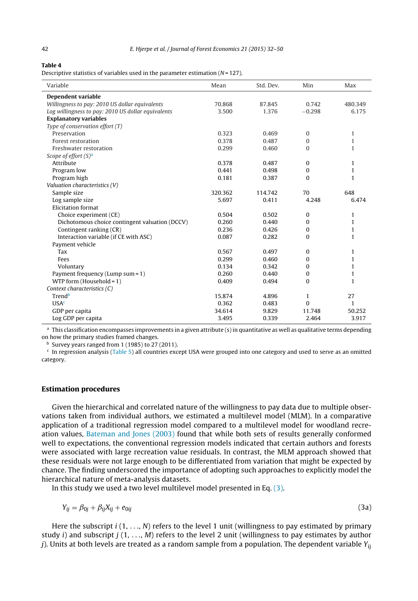<span id="page-10-0"></span>**Table 4**

Descriptive statistics of variables used in the parameter estimation  $(N = 127)$ .

| Variable                                           | Mean    | Std. Dev. | Min          | Max          |
|----------------------------------------------------|---------|-----------|--------------|--------------|
| Dependent variable                                 |         |           |              |              |
| Willingness to pay: 2010 US dollar equivalents     | 70.868  | 87.845    | 0.742        | 480.349      |
| Log willingness to pay: 2010 US dollar equivalents | 3.500   | 1.376     | $-0.298$     | 6.175        |
| <b>Explanatory variables</b>                       |         |           |              |              |
| Type of conservation effort (T)                    |         |           |              |              |
| Preservation                                       | 0.323   | 0.469     | 0            | 1            |
| Forest restoration                                 | 0.378   | 0.487     | $\Omega$     | $\mathbf{1}$ |
| Freshwater restoration                             | 0.299   | 0.460     | $\Omega$     | 1            |
| Scope of effort $(S)^a$                            |         |           |              |              |
| Attribute                                          | 0.378   | 0.487     | 0            | 1            |
| Program low                                        | 0.441   | 0.498     | $\bf{0}$     | $\mathbf{1}$ |
| Program high                                       | 0.181   | 0.387     | $\Omega$     | 1            |
| Valuation characteristics (V)                      |         |           |              |              |
| Sample size                                        | 320.362 | 114.742   | 70           | 648          |
| Log sample size                                    | 5.697   | 0.411     | 4.248        | 6.474        |
| <b>Elicitation format</b>                          |         |           |              |              |
| Choice experiment (CE)                             | 0.504   | 0.502     | 0            | 1            |
| Dichotomous choice contingent valuation (DCCV)     | 0.260   | 0.440     | $\Omega$     | $\mathbf{1}$ |
| Contingent ranking (CR)                            | 0.236   | 0.426     | $\Omega$     | 1            |
| Interaction variable (if CE with ASC)              | 0.087   | 0.282     | $\Omega$     | 1            |
| Payment vehicle                                    |         |           |              |              |
| Tax                                                | 0.567   | 0.497     | 0            | 1            |
| Fees                                               | 0.299   | 0.460     | $\Omega$     | 1            |
| Voluntary                                          | 0.134   | 0.342     | $\Omega$     | $\mathbf{1}$ |
| Payment frequency (Lump sum = 1)                   | 0.260   | 0.440     | 0            | 1            |
| WTP form (Household = $1$ )                        | 0.409   | 0.494     | $\bf{0}$     | 1            |
| Context characteristics (C)                        |         |           |              |              |
| Trend <sup>b</sup>                                 | 15.874  | 4.896     | $\mathbf{1}$ | 27           |
| <b>USA<sup>c</sup></b>                             | 0.362   | 0.483     | $\Omega$     | 1            |
| GDP per capita                                     | 34.614  | 9.829     | 11.748       | 50.252       |
| Log GDP per capita                                 | 3.495   | 0.339     | 2.464        | 3.917        |

<sup>a</sup> This classification encompasses improvements in a given attribute (s) in quantitative as well as qualitative terms depending on how the primary studies framed changes.

 $<sup>b</sup>$  Survey years ranged from 1 (1985) to 27 (2011).</sup>

 $c$  In regression analysis [\(Table](#page-13-0) 5) all countries except USA were grouped into one category and used to serve as an omitted category.

## **Estimation procedures**

Given the hierarchical and correlated nature of the willingness to pay data due to multiple observations taken from individual authors, we estimated a multilevel model (MLM). In a comparative application of a traditional regression model compared to a multilevel model for woodland recreation values, [Bateman](#page-16-0) [and](#page-16-0) [Jones](#page-16-0) [\(2003\)](#page-16-0) found that while both sets of results generally conformed well to expectations, the conventional regression models indicated that certain authors and forests were associated with large recreation value residuals. In contrast, the MLM approach showed that these residuals were not large enough to be differentiated from variation that might be expected by chance. The finding underscored the importance of adopting such approaches to explicitly model the hierarchical nature of meta-analysis datasets.

In this study we used a two level multilevel model presented in Eq. (3).

$$
Y_{ij} = \beta_{0j} + \beta_{ij} X_{ij} + e_{0ij} \tag{3a}
$$

Here the subscript  $i$  (1, ..., N) refers to the level 1 unit (willingness to pay estimated by primary study i) and subscript  $j$  (1, ..., M) refers to the level 2 unit (willingness to pay estimates by author j). Units at both levels are treated as a random sample from a population. The dependent variable  $Y_{ii}$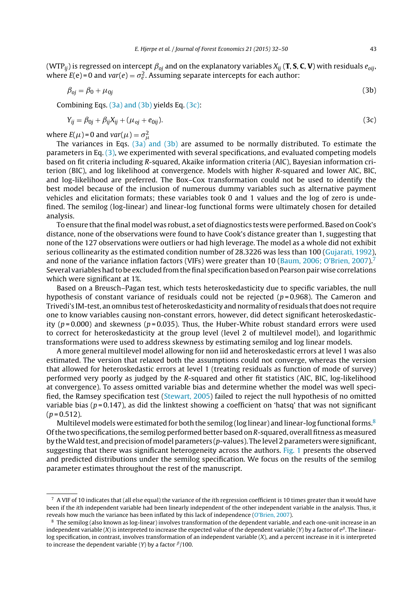(WTP<sub>ii</sub>) is regressed on intercept  $\beta_{oi}$  and on the explanatory variables  $X_{ii}$  (**T, S, C, V**) with residuals  $e_{oi}$ , where  $E(e)$  = 0 and  $var(e) = \sigma_e^2$ . Assuming separate intercepts for each author:

$$
\beta_{oj} = \beta_0 + \mu_{0j} \tag{3b}
$$

Combining Eqs. [\(3a\)](#page-10-0) [and](#page-10-0) [\(3b\)](#page-10-0) yields Eq. (3c):

$$
Y_{ij} = \beta_{0j} + \beta_{ij} X_{ij} + (\mu_{oj} + e_{0ij}).
$$
\n(3c)

where  $E(\mu)$  = 0 and  $var(\mu) = \sigma_{\mu}^2$ 

The variances in Eqs.  $(3a)$  [and](#page-10-0)  $(3b)$  are assumed to be normally distributed. To estimate the parameters in Eq. [\(3\),](#page-10-0) we experimented with several specifications, and evaluated competing models based on fit criteria including R-squared, Akaike information criteria (AIC), Bayesian information criterion (BIC), and log likelihood at convergence. Models with higher R-squared and lower AIC, BIC, and log-likelihood are preferred. The Box–Cox transformation could not be used to identify the best model because of the inclusion of numerous dummy variables such as alternative payment vehicles and elicitation formats; these variables took 0 and 1 values and the log of zero is undefined. The semilog (log-linear) and linear-log functional forms were ultimately chosen for detailed analysis.

To ensure that the final model was robust, a set of diagnostics tests were performed. Based on Cook's distance, none of the observations were found to have Cook's distance greater than 1, suggesting that none of the 127 observations were outliers or had high leverage. The model as a whole did not exhibit serious collinearity as the estimated condition number of 28.3226 was less than 100 ([Gujarati,](#page-17-0) [1992\),](#page-17-0) and none of the variance inflation factors (VIFs) were greater than 10 ([Baum,](#page-16-0) [2006;](#page-16-0) [O'Brien,](#page-16-0) 2007).<sup>7</sup> Several variables had to be excluded from the final specification based on Pearson pair wise correlations which were significant at 1%.

Based on a Breusch–Pagan test, which tests heteroskedasticity due to specific variables, the null hypothesis of constant variance of residuals could not be rejected  $(p=0.968)$ . The Cameron and Trivedi's IM-test, an omnibus test of heteroskedasticity and normality of residuals that does not require one to know variables causing non-constant errors, however, did detect significant heteroskedasticity ( $p = 0.000$ ) and skewness ( $p = 0.035$ ). Thus, the Huber-White robust standard errors were used to correct for heteroskedasticity at the group level (level 2 of multilevel model), and logarithmic transformations were used to address skewness by estimating semilog and log linear models.

A more general multilevel model allowing for non iid and heteroskedastic errors at level 1 was also estimated. The version that relaxed both the assumptions could not converge, whereas the version that allowed for heteroskedastic errors at level 1 (treating residuals as function of mode of survey) performed very poorly as judged by the R-squared and other fit statistics (AIC, BIC, log-likelihood at convergence). To assess omitted variable bias and determine whether the model was well specified, the Ramsey specification test ([Stewart,](#page-18-0) [2005\)](#page-18-0) failed to reject the null hypothesis of no omitted variable bias ( $p = 0.147$ ), as did the linktest showing a coefficient on 'hatsq' that was not significant  $(p = 0.512)$ .

Multilevel models were estimated for both the semilog (log linear) and linear-log functional forms.<sup>8</sup> Of the two specifications, the semilog performed better based on R-squared, overall fitness as measured by the Wald test, and precision of model parameters ( $p$ -values). The level 2 parameters were significant, suggesting that there was significant heterogeneity across the authors. [Fig.](#page-12-0) 1 presents the observed and predicted distributions under the semilog specification. We focus on the results of the semilog parameter estimates throughout the rest of the manuscript.

<sup>7</sup> A VIF of 10 indicates that (all else equal) the variance of the ith regression coefficient is 10 times greater than it would have been if the ith independent variable had been linearly independent of the other independent variable in the analysis. Thus, it reveals how much the variance has been inflated by this lack of independence ([O'Brien,](#page-17-0) [2007\).](#page-17-0)

<sup>8</sup> The semilog (also known as log-linear) involves transformation of the dependent variable, and each one-unit increase in an independent variable (X) is interpreted to increase the expected value of the dependent variable (Y) by a factor of  $e^{\beta}$ . The linearlog specification, in contrast, involves transformation of an independent variable  $(X)$ , and a percent increase in it is interpreted to increase the dependent variable (Y) by a factor  $\beta$ /100.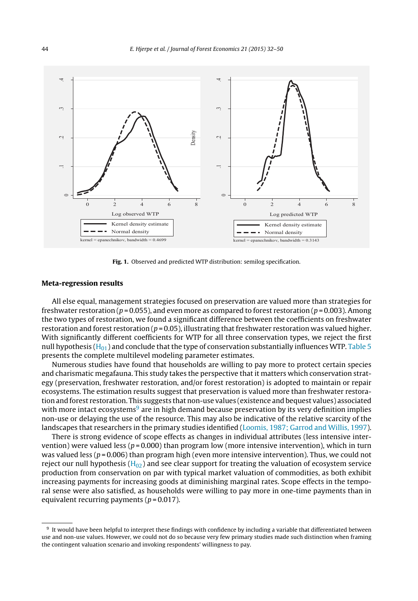<span id="page-12-0"></span>

**Fig. 1.** Observed and predicted WTP distribution: semilog specification.

## **Meta-regression results**

All else equal, management strategies focused on preservation are valued more than strategies for freshwater restoration ( $p = 0.055$ ), and even more as compared to forest restoration ( $p = 0.003$ ). Among the two types of restoration, we found a significant difference between the coefficients on freshwater restoration and forest restoration ( $p = 0.05$ ), illustrating that freshwater restoration was valued higher. With significantly different coefficients for WTP for all three conservation types, we reject the first null hypothesis ( $H_{01}$ ) and conclude that the type of conservation substantially influences WTP. [Table](#page-13-0) 5 presents the complete multilevel modeling parameter estimates.

Numerous studies have found that households are willing to pay more to protect certain species and charismatic megafauna. This study takes the perspective that it matters which conservation strategy (preservation, freshwater restoration, and/or forest restoration) is adopted to maintain or repair ecosystems. The estimation results suggest that preservation is valued more than freshwater restoration and forest restoration. This suggests that non-use values (existence and bequest values) associated with more intact ecosystems<sup>9</sup> are in high demand because preservation by its very definition implies non-use or delaying the use of the resource. This may also be indicative of the relative scarcity of the landscapes that researchers in the primary studies identified ([Loomis,](#page-17-0) [1987;](#page-17-0) [Garrod](#page-17-0) [and](#page-17-0) [Willis,](#page-17-0) [1997\).](#page-17-0)

There is strong evidence of scope effects as changes in individual attributes (less intensive intervention) were valued less ( $p = 0.000$ ) than program low (more intensive intervention), which in turn was valued less ( $p = 0.006$ ) than program high (even more intensive intervention). Thus, we could not reject our null hypothesis ( $H_{02}$ ) and see clear support for treating the valuation of ecosystem service production from conservation on par with typical market valuation of commodities, as both exhibit increasing payments for increasing goods at diminishing marginal rates. Scope effects in the temporal sense were also satisfied, as households were willing to pay more in one-time payments than in equivalent recurring payments ( $p = 0.017$ ).

<sup>9</sup> It would have been helpful to interpret these findings with confidence by including a variable that differentiated between use and non-use values. However, we could not do so because very few primary studies made such distinction when framing the contingent valuation scenario and invoking respondents' willingness to pay.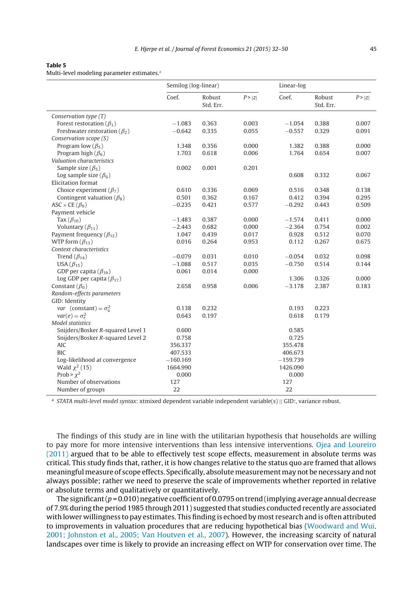<span id="page-13-0"></span>Multi-level modeling parameter estimates.<sup>a</sup>

|                                      | Semilog (log-linear) |                     |        | Linear-log |                     |        |
|--------------------------------------|----------------------|---------------------|--------|------------|---------------------|--------|
|                                      | Coef.                | Robust<br>Std. Err. | P >  z | Coef.      | Robust<br>Std. Err. | P >  z |
| Conservation type $(T)$              |                      |                     |        |            |                     |        |
| Forest restoration ( $\beta_1$ )     | $-1.083$             | 0.363               | 0.003  | $-1.054$   | 0.388               | 0.007  |
| Freshwater restoration ( $\beta_2$ ) | $-0.642$             | 0.335               | 0.055  | $-0.557$   | 0.329               | 0.091  |
| Conservation scope (S)               |                      |                     |        |            |                     |        |
| Program low ( $\beta_5$ )            | 1.348                | 0.356               | 0.000  | 1.382      | 0.388               | 0.000  |
| Program high $(\beta_6)$             | 1.703                | 0.618               | 0.006  | 1.764      | 0.654               | 0.007  |
| Valuation characteristics            |                      |                     |        |            |                     |        |
| Sample size ( $\beta_5$ )            | 0.002                | 0.001               | 0.201  |            |                     |        |
| Log sample size ( $\beta_6$ )        |                      |                     |        | 0.608      | 0.332               | 0.067  |
| <b>Elicitation</b> format            |                      |                     |        |            |                     |        |
| Choice experiment ( $\beta_7$ )      | 0.610                | 0.336               | 0.069  | 0.516      | 0.348               | 0.138  |
| Contingent valuation ( $\beta_8$ )   | 0.501                | 0.362               | 0.167  | 0.412      | 0.394               | 0.295  |
| ASC $\times$ CE ( $\beta_9$ )        | $-0.235$             | 0.421               | 0.577  | $-0.292$   | 0.443               | 0.509  |
| Payment vehicle                      |                      |                     |        |            |                     |        |
| Tax $(\beta_{10})$                   | $-1.483$             | 0.387               | 0.000  | $-1.574$   | 0.411               | 0.000  |
| Voluntary $(\beta_{11})$             | $-2.443$             | 0.682               | 0.000  | $-2.364$   | 0.754               | 0.002  |
| Payment frequency ( $\beta_{12}$ )   | 1.047                | 0.439               | 0.017  | 0.928      | 0.512               | 0.070  |
| WTP form $(\beta_{13})$              | 0.016                | 0.264               | 0.953  | 0.112      | 0.267               | 0.675  |
| Context characteristics              |                      |                     |        |            |                     |        |
| Trend $(\beta_{14})$                 | $-0.079$             | 0.031               | 0.010  | $-0.054$   | 0.032               | 0.098  |
| USA $(\beta_{15})$                   | $-1.088$             | 0.517               | 0.035  | $-0.750$   | 0.514               | 0.144  |
| GDP per capita ( $\beta_{16}$ )      | 0.061                | 0.014               | 0.000  |            |                     |        |
| Log GDP per capita ( $\beta_{17}$ )  |                      |                     |        | 1.306      | 0.326               | 0.000  |
| Constant $(\beta_0)$                 | 2.658                | 0.958               | 0.006  | $-3.178$   | 2.387               | 0.183  |
| Random-effects parameters            |                      |                     |        |            |                     |        |
| GID: Identity                        |                      |                     |        |            |                     |        |
| <i>var</i> (constant) = $\sigma_u^2$ | 0.138                | 0.232               |        | 0.193      | 0.223               |        |
| $var(e) = \sigma_e^2$                | 0.643                | 0.197               |        | 0.618      | 0.179               |        |
| <b>Model statistics</b>              |                      |                     |        |            |                     |        |
| Snijders/Bosker R-squared Level 1    | 0.600                |                     |        | 0.585      |                     |        |
| Snijders/Bosker R-squared Level 2    | 0.758                |                     |        | 0.725      |                     |        |
| AIC                                  | 356.337              |                     |        | 355.478    |                     |        |
| <b>BIC</b>                           | 407.533              |                     |        | 406.673    |                     |        |
| Log-likelihood at convergence        | $-160.169$           |                     |        | $-159.739$ |                     |        |
| Wald $\chi^2$ (15)                   | 1664.990             |                     |        | 1426.090   |                     |        |
| Prob > $\chi^2$                      | 0.000                |                     |        | 0.000      |                     |        |
| Number of observations               | 127                  |                     |        | 127        |                     |        |
| Number of groups                     | 22                   |                     |        | 22         |                     |        |

a STATA multi-level model syntax: xtmixed dependent variable independent variable(s) || GID:, variance robust.

The findings of this study are in line with the utilitarian hypothesis that households are willing to pay more for more intensive interventions than less intensive interventions. [Ojea](#page-18-0) [and](#page-18-0) [Loureiro](#page-18-0) [\(2011\)](#page-18-0) argued that to be able to effectively test scope effects, measurement in absolute terms was critical. This study finds that, rather, it is how changes relative to the status quo are framed that allows meaningful measure of scope effects. Specifically, absolute measurement may not be necessary and not always possible; rather we need to preserve the scale of improvements whether reported in relative or absolute terms and qualitatively or quantitatively.

The significant ( $p = 0.010$ ) negative coefficient of 0.0795 on trend (implying average annual decrease of 7.9% during the period 1985 through 2011) suggested that studies conducted recently are associated with lower willingness to pay estimates. This finding is echoed by most research and is often attributed to improvements in valuation procedures that are reducing hypothetical bias ([Woodward](#page-18-0) [and](#page-18-0) [Wui,](#page-18-0) [2001;](#page-18-0) [Johnston](#page-18-0) et [al.,](#page-18-0) [2005;](#page-18-0) [Van](#page-18-0) [Houtven](#page-18-0) et [al.,](#page-18-0) [2007\).](#page-18-0) However, the increasing scarcity of natural landscapes over time is likely to provide an increasing effect on WTP for conservation over time. The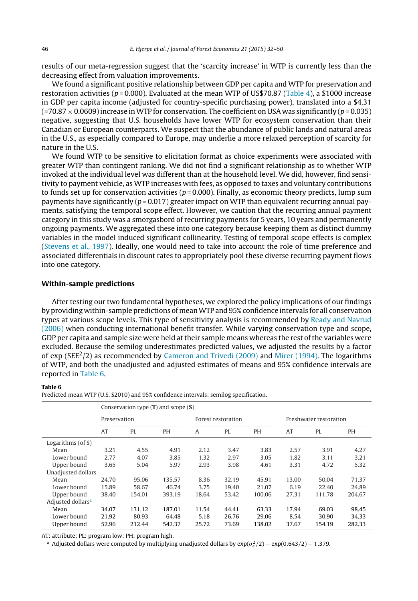results of our meta-regression suggest that the 'scarcity increase' in WTP is currently less than the decreasing effect from valuation improvements.

We found a significant positive relationship between GDP per capita and WTP for preservation and restoration activities ( $p = 0.000$ ). Evaluated at the mean WTP of US\$70.87 ([Table](#page-10-0) 4), a \$1000 increase in GDP per capita income (adjusted for country-specific purchasing power), translated into a \$4.31  $(=70.87 \times 0.0609)$  increase in WTP for conservation. The coefficient on USA was significantly ( $p = 0.035$ ) negative, suggesting that U.S. households have lower WTP for ecosystem conservation than their Canadian or European counterparts. We suspect that the abundance of public lands and natural areas in the U.S., as especially compared to Europe, may underlie a more relaxed perception of scarcity for nature in the U.S.

We found WTP to be sensitive to elicitation format as choice experiments were associated with greater WTP than contingent ranking. We did not find a significant relationship as to whether WTP invoked at the individual level was different than at the household level. We did, however, find sensitivity to payment vehicle, as WTP increases with fees, as opposed to taxes and voluntary contributions to funds set up for conservation activities ( $p = 0.000$ ). Finally, as economic theory predicts, lump sum payments have significantly ( $p = 0.017$ ) greater impact on WTP than equivalent recurring annual payments, satisfying the temporal scope effect. However, we caution that the recurring annual payment category in this study was a smorgasbord of recurring payments for 5 years, 10 years and permanently ongoing payments. We aggregated these into one category because keeping them as distinct dummy variables in the model induced significant collinearity. Testing of temporal scope effects is complex ([Stevens](#page-18-0) et [al.,](#page-18-0) [1997\).](#page-18-0) Ideally, one would need to take into account the role of time preference and associated differentials in discount rates to appropriately pool these diverse recurring payment flows into one category.

## **Within-sample predictions**

After testing our two fundamental hypotheses, we explored the policy implications of our findings by providing within-sample predictions of meanWTP and 95% confidence intervals for all conservation types at various scope levels. This type of sensitivity analysis is recommended by [Ready](#page-18-0) [and](#page-18-0) [Navrud](#page-18-0) [\(2006\)](#page-18-0) when conducting international benefit transfer. While varying conservation type and scope, GDP per capita and sample size were held at their sample means whereas the rest of the variables were excluded. Because the semilog underestimates predicted values, we adjusted the results by a factor of exp (SEE $\frac{2}{2}$ ) as recommended by [Cameron](#page-17-0) [and](#page-17-0) [Trivedi](#page-17-0) [\(2009\)](#page-17-0) and [Mirer](#page-17-0) [\(1994\).](#page-17-0) The logarithms of WTP, and both the unadjusted and adjusted estimates of means and 95% confidence intervals are reported in Table 6.

#### **Table 6**

Predicted mean WTP (U.S. \$2010) and 95% confidence intervals: semilog specification.

|                               | Conservation type $(T)$ and scope $(S)$ |        |        |                |                    |           |       |                        |        |  |
|-------------------------------|-----------------------------------------|--------|--------|----------------|--------------------|-----------|-------|------------------------|--------|--|
|                               | Preservation                            |        |        |                | Forest restoration |           |       | Freshwater restoration |        |  |
|                               | AT                                      | PL     | PH     | $\overline{A}$ | PL                 | <b>PH</b> | AT    | PL                     | PH     |  |
| Logarithms $($ of \$ $)$      |                                         |        |        |                |                    |           |       |                        |        |  |
| Mean                          | 3.21                                    | 4.55   | 4.91   | 2.12           | 3.47               | 3.83      | 2.57  | 3.91                   | 4.27   |  |
| Lower bound                   | 2.77                                    | 4.07   | 3.85   | 1.32           | 2.97               | 3.05      | 1.82  | 3.11                   | 3.21   |  |
| Upper bound                   | 3.65                                    | 5.04   | 5.97   | 2.93           | 3.98               | 4.61      | 3.31  | 4.72                   | 5.32   |  |
| Unadjusted dollars            |                                         |        |        |                |                    |           |       |                        |        |  |
| Mean                          | 24.70                                   | 95.06  | 135.57 | 8.36           | 32.19              | 45.91     | 13.00 | 50.04                  | 71.37  |  |
| Lower bound                   | 15.89                                   | 58.67  | 46.74  | 3.75           | 19.40              | 21.07     | 6.19  | 22.40                  | 24.89  |  |
| Upper bound                   | 38.40                                   | 154.01 | 393.19 | 18.64          | 53.42              | 100.06    | 27.31 | 111.78                 | 204.67 |  |
| Adjusted dollars <sup>a</sup> |                                         |        |        |                |                    |           |       |                        |        |  |
| Mean                          | 34.07                                   | 131.12 | 187.01 | 11.54          | 44.41              | 63.33     | 17.94 | 69.03                  | 98.45  |  |
| Lower bound                   | 21.92                                   | 80.93  | 64.48  | 5.18           | 26.76              | 29.06     | 8.54  | 30.90                  | 34.33  |  |
| Upper bound                   | 52.96                                   | 212.44 | 542.37 | 25.72          | 73.69              | 138.02    | 37.67 | 154.19                 | 282.33 |  |

AT: attribute; PL: program low; PH: program high.

<sup>a</sup> Adjusted dollars were computed by multiplying unadjusted dollars by  $\exp(\sigma_e^2/2) = \exp(0.643/2) = 1.379$ .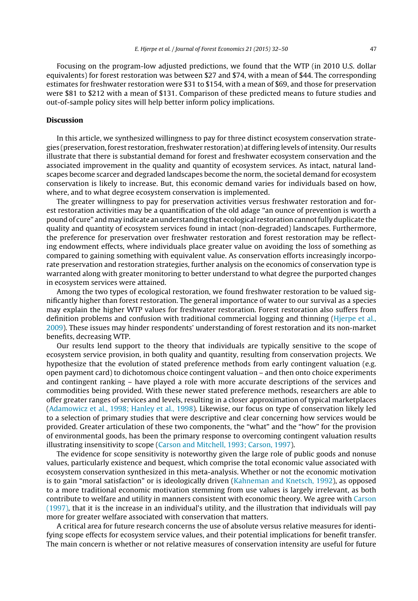Focusing on the program-low adjusted predictions, we found that the WTP (in 2010 U.S. dollar equivalents) for forest restoration was between \$27 and \$74, with a mean of \$44. The corresponding estimates for freshwater restoration were \$31 to \$154, with a mean of \$69, and those for preservation were \$81 to \$212 with a mean of \$131. Comparison of these predicted means to future studies and out-of-sample policy sites will help better inform policy implications.

#### **Discussion**

In this article, we synthesized willingness to pay for three distinct ecosystem conservation strategies (preservation,forest restoration,freshwater restoration) at differing levels ofintensity. Our results illustrate that there is substantial demand for forest and freshwater ecosystem conservation and the associated improvement in the quality and quantity of ecosystem services. As intact, natural landscapes become scarcer and degraded landscapes become the norm, the societal demand for ecosystem conservation is likely to increase. But, this economic demand varies for individuals based on how, where, and to what degree ecosystem conservation is implemented.

The greater willingness to pay for preservation activities versus freshwater restoration and forest restoration activities may be a quantification of the old adage "an ounce of prevention is worth a pound of cure" and may indicate an understanding that ecological restoration cannot fully duplicate the quality and quantity of ecosystem services found in intact (non-degraded) landscapes. Furthermore, the preference for preservation over freshwater restoration and forest restoration may be reflecting endowment effects, where individuals place greater value on avoiding the loss of something as compared to gaining something with equivalent value. As conservation efforts increasingly incorporate preservation and restoration strategies, further analysis on the economics of conservation type is warranted along with greater monitoring to better understand to what degree the purported changes in ecosystem services were attained.

Among the two types of ecological restoration, we found freshwater restoration to be valued significantly higher than forest restoration. The general importance of water to our survival as a species may explain the higher WTP values for freshwater restoration. Forest restoration also suffers from definition problems and confusion with traditional commercial logging and thinning ([Hjerpe](#page-17-0) et [al.,](#page-17-0) [2009\).](#page-17-0) These issues may hinder respondents' understanding of forest restoration and its non-market benefits, decreasing WTP.

Our results lend support to the theory that individuals are typically sensitive to the scope of ecosystem service provision, in both quality and quantity, resulting from conservation projects. We hypothesize that the evolution of stated preference methods from early contingent valuation (e.g. open payment card) to dichotomous choice contingent valuation – and then onto choice experiments and contingent ranking – have played a role with more accurate descriptions of the services and commodities being provided. With these newer stated preference methods, researchers are able to offer greater ranges of services and levels, resulting in a closer approximation of typical marketplaces [\(Adamowicz](#page-16-0) et [al.,](#page-16-0) [1998;](#page-16-0) [Hanley](#page-16-0) et [al.,](#page-16-0) [1998\).](#page-16-0) Likewise, our focus on type of conservation likely led to a selection of primary studies that were descriptive and clear concerning how services would be provided. Greater articulation of these two components, the "what" and the "how" for the provision of environmental goods, has been the primary response to overcoming contingent valuation results illustrating insensitivity to scope [\(Carson](#page-17-0) [and](#page-17-0) [Mitchell,](#page-17-0) [1993;](#page-17-0) [Carson,](#page-17-0) [1997\).](#page-17-0)

The evidence for scope sensitivity is noteworthy given the large role of public goods and nonuse values, particularly existence and bequest, which comprise the total economic value associated with ecosystem conservation synthesized in this meta-analysis. Whether or not the economic motivation is to gain "moral satisfaction" or is ideologically driven ([Kahneman](#page-17-0) [and](#page-17-0) [Knetsch,](#page-17-0) [1992\),](#page-17-0) as opposed to a more traditional economic motivation stemming from use values is largely irrelevant, as both contribute to welfare and utility in manners consistent with economic theory. We agree with [Carson](#page-17-0) [\(1997\),](#page-17-0) that it is the increase in an individual's utility, and the illustration that individuals will pay more for greater welfare associated with conservation that matters.

A critical area for future research concerns the use of absolute versus relative measures for identifying scope effects for ecosystem service values, and their potential implications for benefit transfer. The main concern is whether or not relative measures of conservation intensity are useful for future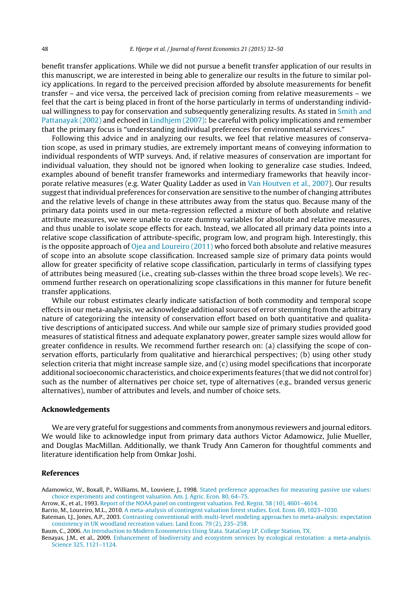<span id="page-16-0"></span>benefit transfer applications. While we did not pursue a benefit transfer application of our results in this manuscript, we are interested in being able to generalize our results in the future to similar policy applications. In regard to the perceived precision afforded by absolute measurements for benefit transfer – and vice versa, the perceived lack of precision coming from relative measurements – we feel that the cart is being placed in front of the horse particularly in terms of understanding individual willingness to pay for conservation and subsequently generalizing results. As stated in [Smith](#page-18-0) [and](#page-18-0) [Pattanayak](#page-18-0) [\(2002\)](#page-18-0) and echoed in [Lindhjem](#page-17-0) [\(2007\):](#page-17-0) be careful with policy implications and remember that the primary focus is "understanding individual preferences for environmental services."

Following this advice and in analyzing our results, we feel that relative measures of conservation scope, as used in primary studies, are extremely important means of conveying information to individual respondents of WTP surveys. And, if relative measures of conservation are important for individual valuation, they should not be ignored when looking to generalize case studies. Indeed, examples abound of benefit transfer frameworks and intermediary frameworks that heavily incorporate relative measures (e.g. Water Quality Ladder as used in [Van](#page-18-0) [Houtven](#page-18-0) et [al.,](#page-18-0) [2007\).](#page-18-0) Our results suggest that individual preferences for conservation are sensitive to the number of changing attributes and the relative levels of change in these attributes away from the status quo. Because many of the primary data points used in our meta-regression reflected a mixture of both absolute and relative attribute measures, we were unable to create dummy variables for absolute and relative measures, and thus unable to isolate scope effects for each. Instead, we allocated all primary data points into a relative scope classification of attribute-specific, program low, and program high. Interestingly, this is the opposite approach of  $O$  jea [and](#page-18-0) [Loureiro](#page-18-0) [\(2011\)](#page-18-0) who forced both absolute and relative measures of scope into an absolute scope classification. Increased sample size of primary data points would allow for greater specificity of relative scope classification, particularly in terms of classifying types of attributes being measured (i.e., creating sub-classes within the three broad scope levels). We recommend further research on operationalizing scope classifications in this manner for future benefit transfer applications.

While our robust estimates clearly indicate satisfaction of both commodity and temporal scope effects in our meta-analysis, we acknowledge additional sources of error stemming from the arbitrary nature of categorizing the intensity of conservation effort based on both quantitative and qualitative descriptions of anticipated success. And while our sample size of primary studies provided good measures of statistical fitness and adequate explanatory power, greater sample sizes would allow for greater confidence in results. We recommend further research on: (a) classifying the scope of conservation efforts, particularly from qualitative and hierarchical perspectives; (b) using other study selection criteria that might increase sample size, and (c) using model specifications that incorporate additional socioeconomic characteristics, and choice experiments features (that we did not controlfor) such as the number of alternatives per choice set, type of alternatives (e.g., branded versus generic alternatives), number of attributes and levels, and number of choice sets.

## **Acknowledgements**

We are very grateful for suggestions and comments from anonymous reviewers and journal editors. We would like to acknowledge input from primary data authors Victor Adamowicz, Julie Mueller, and Douglas MacMillan. Additionally, we thank Trudy Ann Cameron for thoughtful comments and literature identification help from Omkar Joshi.

## **References**

Adamowicz, W., Boxall, P., Williams, M., Louviere, J., 1998. [Stated](http://refhub.elsevier.com/S1104-6899(14)00067-1/sbref0005) [preference](http://refhub.elsevier.com/S1104-6899(14)00067-1/sbref0005) [approaches](http://refhub.elsevier.com/S1104-6899(14)00067-1/sbref0005) [for](http://refhub.elsevier.com/S1104-6899(14)00067-1/sbref0005) [measuring](http://refhub.elsevier.com/S1104-6899(14)00067-1/sbref0005) [passive](http://refhub.elsevier.com/S1104-6899(14)00067-1/sbref0005) [use](http://refhub.elsevier.com/S1104-6899(14)00067-1/sbref0005) [values:](http://refhub.elsevier.com/S1104-6899(14)00067-1/sbref0005) [choice](http://refhub.elsevier.com/S1104-6899(14)00067-1/sbref0005) [experiments](http://refhub.elsevier.com/S1104-6899(14)00067-1/sbref0005) [and](http://refhub.elsevier.com/S1104-6899(14)00067-1/sbref0005) [contingent](http://refhub.elsevier.com/S1104-6899(14)00067-1/sbref0005) [valuation.](http://refhub.elsevier.com/S1104-6899(14)00067-1/sbref0005) [Am.](http://refhub.elsevier.com/S1104-6899(14)00067-1/sbref0005) [J.](http://refhub.elsevier.com/S1104-6899(14)00067-1/sbref0005) [Agric.](http://refhub.elsevier.com/S1104-6899(14)00067-1/sbref0005) [Econ.](http://refhub.elsevier.com/S1104-6899(14)00067-1/sbref0005) [80,](http://refhub.elsevier.com/S1104-6899(14)00067-1/sbref0005) [64](http://refhub.elsevier.com/S1104-6899(14)00067-1/sbref0005)–[75.](http://refhub.elsevier.com/S1104-6899(14)00067-1/sbref0005)

Arrow, K., et al., 1993. [Report](http://refhub.elsevier.com/S1104-6899(14)00067-1/sbref0010) [of](http://refhub.elsevier.com/S1104-6899(14)00067-1/sbref0010) [the](http://refhub.elsevier.com/S1104-6899(14)00067-1/sbref0010) [NOAA](http://refhub.elsevier.com/S1104-6899(14)00067-1/sbref0010) [panel](http://refhub.elsevier.com/S1104-6899(14)00067-1/sbref0010) [on](http://refhub.elsevier.com/S1104-6899(14)00067-1/sbref0010) [contingent](http://refhub.elsevier.com/S1104-6899(14)00067-1/sbref0010) [valuation.](http://refhub.elsevier.com/S1104-6899(14)00067-1/sbref0010) [Fed.](http://refhub.elsevier.com/S1104-6899(14)00067-1/sbref0010) [Regist.](http://refhub.elsevier.com/S1104-6899(14)00067-1/sbref0010) [58](http://refhub.elsevier.com/S1104-6899(14)00067-1/sbref0010) [\(10\),](http://refhub.elsevier.com/S1104-6899(14)00067-1/sbref0010) [4601](http://refhub.elsevier.com/S1104-6899(14)00067-1/sbref0010)–[4614.](http://refhub.elsevier.com/S1104-6899(14)00067-1/sbref0010)

Barrio, M., Loureiro, M.L., 2010. [A](http://refhub.elsevier.com/S1104-6899(14)00067-1/sbref0015) [meta-analysis](http://refhub.elsevier.com/S1104-6899(14)00067-1/sbref0015) [of](http://refhub.elsevier.com/S1104-6899(14)00067-1/sbref0015) [contingent](http://refhub.elsevier.com/S1104-6899(14)00067-1/sbref0015) [valuation](http://refhub.elsevier.com/S1104-6899(14)00067-1/sbref0015) [forest](http://refhub.elsevier.com/S1104-6899(14)00067-1/sbref0015) [studies.](http://refhub.elsevier.com/S1104-6899(14)00067-1/sbref0015) [Ecol.](http://refhub.elsevier.com/S1104-6899(14)00067-1/sbref0015) [Econ.](http://refhub.elsevier.com/S1104-6899(14)00067-1/sbref0015) [69,](http://refhub.elsevier.com/S1104-6899(14)00067-1/sbref0015) [1023](http://refhub.elsevier.com/S1104-6899(14)00067-1/sbref0015)–[1030.](http://refhub.elsevier.com/S1104-6899(14)00067-1/sbref0015)

Bateman, I.J., Jones, A.P., 2003. [Contrasting](http://refhub.elsevier.com/S1104-6899(14)00067-1/sbref0020) [conventional](http://refhub.elsevier.com/S1104-6899(14)00067-1/sbref0020) [with](http://refhub.elsevier.com/S1104-6899(14)00067-1/sbref0020) [multi-level](http://refhub.elsevier.com/S1104-6899(14)00067-1/sbref0020) [modeling](http://refhub.elsevier.com/S1104-6899(14)00067-1/sbref0020) [approaches](http://refhub.elsevier.com/S1104-6899(14)00067-1/sbref0020) [to](http://refhub.elsevier.com/S1104-6899(14)00067-1/sbref0020) [meta-analysis:](http://refhub.elsevier.com/S1104-6899(14)00067-1/sbref0020) [expectation](http://refhub.elsevier.com/S1104-6899(14)00067-1/sbref0020) [consistency](http://refhub.elsevier.com/S1104-6899(14)00067-1/sbref0020) [in](http://refhub.elsevier.com/S1104-6899(14)00067-1/sbref0020) [UK](http://refhub.elsevier.com/S1104-6899(14)00067-1/sbref0020) [woodland](http://refhub.elsevier.com/S1104-6899(14)00067-1/sbref0020) [recreation](http://refhub.elsevier.com/S1104-6899(14)00067-1/sbref0020) [values.](http://refhub.elsevier.com/S1104-6899(14)00067-1/sbref0020) [Land](http://refhub.elsevier.com/S1104-6899(14)00067-1/sbref0020) [Econ.](http://refhub.elsevier.com/S1104-6899(14)00067-1/sbref0020) [79](http://refhub.elsevier.com/S1104-6899(14)00067-1/sbref0020) [\(2\),](http://refhub.elsevier.com/S1104-6899(14)00067-1/sbref0020) [235–258.](http://refhub.elsevier.com/S1104-6899(14)00067-1/sbref0020)

Baum, C., 2006. [An](http://refhub.elsevier.com/S1104-6899(14)00067-1/sbref0025) [Introduction](http://refhub.elsevier.com/S1104-6899(14)00067-1/sbref0025) [to](http://refhub.elsevier.com/S1104-6899(14)00067-1/sbref0025) [Modern](http://refhub.elsevier.com/S1104-6899(14)00067-1/sbref0025) [Econometrics](http://refhub.elsevier.com/S1104-6899(14)00067-1/sbref0025) [Using](http://refhub.elsevier.com/S1104-6899(14)00067-1/sbref0025) [Stata.](http://refhub.elsevier.com/S1104-6899(14)00067-1/sbref0025) [StataCorp](http://refhub.elsevier.com/S1104-6899(14)00067-1/sbref0025) [LP,](http://refhub.elsevier.com/S1104-6899(14)00067-1/sbref0025) [College](http://refhub.elsevier.com/S1104-6899(14)00067-1/sbref0025) [Station,](http://refhub.elsevier.com/S1104-6899(14)00067-1/sbref0025) [TX.](http://refhub.elsevier.com/S1104-6899(14)00067-1/sbref0025)

Benayas, J.M., et al., 2009. [Enhancement](http://refhub.elsevier.com/S1104-6899(14)00067-1/sbref0030) [of](http://refhub.elsevier.com/S1104-6899(14)00067-1/sbref0030) [biodiversity](http://refhub.elsevier.com/S1104-6899(14)00067-1/sbref0030) [and](http://refhub.elsevier.com/S1104-6899(14)00067-1/sbref0030) [ecosystem](http://refhub.elsevier.com/S1104-6899(14)00067-1/sbref0030) [services](http://refhub.elsevier.com/S1104-6899(14)00067-1/sbref0030) [by](http://refhub.elsevier.com/S1104-6899(14)00067-1/sbref0030) [ecological](http://refhub.elsevier.com/S1104-6899(14)00067-1/sbref0030) [restoration:](http://refhub.elsevier.com/S1104-6899(14)00067-1/sbref0030) [a](http://refhub.elsevier.com/S1104-6899(14)00067-1/sbref0030) [meta-analysis.](http://refhub.elsevier.com/S1104-6899(14)00067-1/sbref0030) [Science](http://refhub.elsevier.com/S1104-6899(14)00067-1/sbref0030) [325,](http://refhub.elsevier.com/S1104-6899(14)00067-1/sbref0030) [1121–1124.](http://refhub.elsevier.com/S1104-6899(14)00067-1/sbref0030)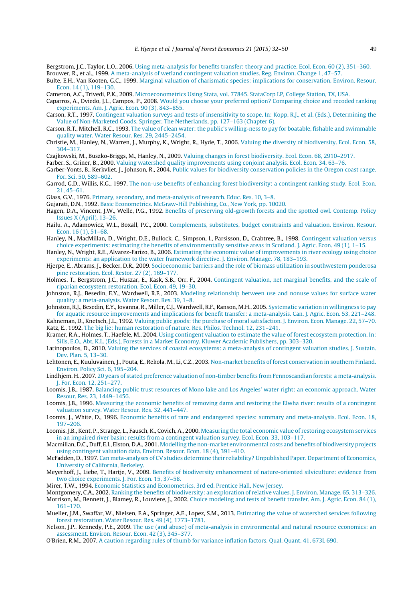- <span id="page-17-0"></span>Bergstrom, J.C., Taylor, L.O., 2006. [Using](http://refhub.elsevier.com/S1104-6899(14)00067-1/sbref0035) [meta-analysis](http://refhub.elsevier.com/S1104-6899(14)00067-1/sbref0035) [for](http://refhub.elsevier.com/S1104-6899(14)00067-1/sbref0035) [benefits](http://refhub.elsevier.com/S1104-6899(14)00067-1/sbref0035) [transfer:](http://refhub.elsevier.com/S1104-6899(14)00067-1/sbref0035) [theory](http://refhub.elsevier.com/S1104-6899(14)00067-1/sbref0035) [and](http://refhub.elsevier.com/S1104-6899(14)00067-1/sbref0035) [practice.](http://refhub.elsevier.com/S1104-6899(14)00067-1/sbref0035) [Ecol.](http://refhub.elsevier.com/S1104-6899(14)00067-1/sbref0035) [Econ.](http://refhub.elsevier.com/S1104-6899(14)00067-1/sbref0035) [60](http://refhub.elsevier.com/S1104-6899(14)00067-1/sbref0035) [\(2\),](http://refhub.elsevier.com/S1104-6899(14)00067-1/sbref0035) [351–360.](http://refhub.elsevier.com/S1104-6899(14)00067-1/sbref0035)
- Brouwer, R., et al., 1999. [A](http://refhub.elsevier.com/S1104-6899(14)00067-1/sbref0040) [meta-analysis](http://refhub.elsevier.com/S1104-6899(14)00067-1/sbref0040) [of](http://refhub.elsevier.com/S1104-6899(14)00067-1/sbref0040) [wetland](http://refhub.elsevier.com/S1104-6899(14)00067-1/sbref0040) [contingent](http://refhub.elsevier.com/S1104-6899(14)00067-1/sbref0040) [valuation](http://refhub.elsevier.com/S1104-6899(14)00067-1/sbref0040) [studies.](http://refhub.elsevier.com/S1104-6899(14)00067-1/sbref0040) [Reg.](http://refhub.elsevier.com/S1104-6899(14)00067-1/sbref0040) [Environ.](http://refhub.elsevier.com/S1104-6899(14)00067-1/sbref0040) [Change](http://refhub.elsevier.com/S1104-6899(14)00067-1/sbref0040) [1,](http://refhub.elsevier.com/S1104-6899(14)00067-1/sbref0040) [47–57.](http://refhub.elsevier.com/S1104-6899(14)00067-1/sbref0040)
- Bulte, E.H., Van Kooten, G.C., 1999. [Marginal](http://refhub.elsevier.com/S1104-6899(14)00067-1/sbref0045) [valuation](http://refhub.elsevier.com/S1104-6899(14)00067-1/sbref0045) [of](http://refhub.elsevier.com/S1104-6899(14)00067-1/sbref0045) [charismatic](http://refhub.elsevier.com/S1104-6899(14)00067-1/sbref0045) [species:](http://refhub.elsevier.com/S1104-6899(14)00067-1/sbref0045) [implications](http://refhub.elsevier.com/S1104-6899(14)00067-1/sbref0045) [for](http://refhub.elsevier.com/S1104-6899(14)00067-1/sbref0045) [conservation.](http://refhub.elsevier.com/S1104-6899(14)00067-1/sbref0045) [Environ.](http://refhub.elsevier.com/S1104-6899(14)00067-1/sbref0045) [Resour.](http://refhub.elsevier.com/S1104-6899(14)00067-1/sbref0045) [Econ.](http://refhub.elsevier.com/S1104-6899(14)00067-1/sbref0045) [14](http://refhub.elsevier.com/S1104-6899(14)00067-1/sbref0045) [\(1\),](http://refhub.elsevier.com/S1104-6899(14)00067-1/sbref0045) [119](http://refhub.elsevier.com/S1104-6899(14)00067-1/sbref0045)–[130.](http://refhub.elsevier.com/S1104-6899(14)00067-1/sbref0045)
- Cameron, A.C., Trivedi, P.K., 2009. [Microeconometrics](http://refhub.elsevier.com/S1104-6899(14)00067-1/sbref0050) [Using](http://refhub.elsevier.com/S1104-6899(14)00067-1/sbref0050) [Stata,](http://refhub.elsevier.com/S1104-6899(14)00067-1/sbref0050) [vol.](http://refhub.elsevier.com/S1104-6899(14)00067-1/sbref0050) [77845.](http://refhub.elsevier.com/S1104-6899(14)00067-1/sbref0050) [StataCorp](http://refhub.elsevier.com/S1104-6899(14)00067-1/sbref0050) [LP,](http://refhub.elsevier.com/S1104-6899(14)00067-1/sbref0050) [College](http://refhub.elsevier.com/S1104-6899(14)00067-1/sbref0050) [Station,](http://refhub.elsevier.com/S1104-6899(14)00067-1/sbref0050) [TX,](http://refhub.elsevier.com/S1104-6899(14)00067-1/sbref0050) [USA.](http://refhub.elsevier.com/S1104-6899(14)00067-1/sbref0050)
- Caparros, A., Oviedo, J.L., Campos, P., 2008. [Would](http://refhub.elsevier.com/S1104-6899(14)00067-1/sbref0055) [you](http://refhub.elsevier.com/S1104-6899(14)00067-1/sbref0055) [choose](http://refhub.elsevier.com/S1104-6899(14)00067-1/sbref0055) [your](http://refhub.elsevier.com/S1104-6899(14)00067-1/sbref0055) [preferred](http://refhub.elsevier.com/S1104-6899(14)00067-1/sbref0055) [option?](http://refhub.elsevier.com/S1104-6899(14)00067-1/sbref0055) [Comparing](http://refhub.elsevier.com/S1104-6899(14)00067-1/sbref0055) [choice](http://refhub.elsevier.com/S1104-6899(14)00067-1/sbref0055) [and](http://refhub.elsevier.com/S1104-6899(14)00067-1/sbref0055) [recoded](http://refhub.elsevier.com/S1104-6899(14)00067-1/sbref0055) [ranking](http://refhub.elsevier.com/S1104-6899(14)00067-1/sbref0055) [experiments.](http://refhub.elsevier.com/S1104-6899(14)00067-1/sbref0055) [Am.](http://refhub.elsevier.com/S1104-6899(14)00067-1/sbref0055) [J.](http://refhub.elsevier.com/S1104-6899(14)00067-1/sbref0055) [Agric.](http://refhub.elsevier.com/S1104-6899(14)00067-1/sbref0055) [Econ.](http://refhub.elsevier.com/S1104-6899(14)00067-1/sbref0055) [90](http://refhub.elsevier.com/S1104-6899(14)00067-1/sbref0055) [\(3\),](http://refhub.elsevier.com/S1104-6899(14)00067-1/sbref0055) [843](http://refhub.elsevier.com/S1104-6899(14)00067-1/sbref0055)–[855.](http://refhub.elsevier.com/S1104-6899(14)00067-1/sbref0055)
- Carson, R.T., 1997. [Contingent](http://refhub.elsevier.com/S1104-6899(14)00067-1/sbref0065) [valuation](http://refhub.elsevier.com/S1104-6899(14)00067-1/sbref0065) [surveys](http://refhub.elsevier.com/S1104-6899(14)00067-1/sbref0065) [and](http://refhub.elsevier.com/S1104-6899(14)00067-1/sbref0065) [tests](http://refhub.elsevier.com/S1104-6899(14)00067-1/sbref0065) [of](http://refhub.elsevier.com/S1104-6899(14)00067-1/sbref0065) [insensitivity](http://refhub.elsevier.com/S1104-6899(14)00067-1/sbref0065) [to](http://refhub.elsevier.com/S1104-6899(14)00067-1/sbref0065) [scope.](http://refhub.elsevier.com/S1104-6899(14)00067-1/sbref0065) [In:](http://refhub.elsevier.com/S1104-6899(14)00067-1/sbref0065) [Kopp,](http://refhub.elsevier.com/S1104-6899(14)00067-1/sbref0065) [R.J.,](http://refhub.elsevier.com/S1104-6899(14)00067-1/sbref0065) [et](http://refhub.elsevier.com/S1104-6899(14)00067-1/sbref0065) [al.](http://refhub.elsevier.com/S1104-6899(14)00067-1/sbref0065) [\(Eds.\),](http://refhub.elsevier.com/S1104-6899(14)00067-1/sbref0065) [Determining](http://refhub.elsevier.com/S1104-6899(14)00067-1/sbref0065) [the](http://refhub.elsevier.com/S1104-6899(14)00067-1/sbref0065) [Value](http://refhub.elsevier.com/S1104-6899(14)00067-1/sbref0065) [of](http://refhub.elsevier.com/S1104-6899(14)00067-1/sbref0065) [Non-Marketed](http://refhub.elsevier.com/S1104-6899(14)00067-1/sbref0065) [Goods.](http://refhub.elsevier.com/S1104-6899(14)00067-1/sbref0065) [Springer,](http://refhub.elsevier.com/S1104-6899(14)00067-1/sbref0065) [The](http://refhub.elsevier.com/S1104-6899(14)00067-1/sbref0065) [Netherlands,](http://refhub.elsevier.com/S1104-6899(14)00067-1/sbref0065) [pp.](http://refhub.elsevier.com/S1104-6899(14)00067-1/sbref0065) [127](http://refhub.elsevier.com/S1104-6899(14)00067-1/sbref0065)–[163](http://refhub.elsevier.com/S1104-6899(14)00067-1/sbref0065) [\(Chapter](http://refhub.elsevier.com/S1104-6899(14)00067-1/sbref0065) [6\).](http://refhub.elsevier.com/S1104-6899(14)00067-1/sbref0065)
- Carson, R.T., Mitchell, R.C., 1993. [The](http://refhub.elsevier.com/S1104-6899(14)00067-1/sbref0060) [value](http://refhub.elsevier.com/S1104-6899(14)00067-1/sbref0060) [of](http://refhub.elsevier.com/S1104-6899(14)00067-1/sbref0060) [clean](http://refhub.elsevier.com/S1104-6899(14)00067-1/sbref0060) [water:](http://refhub.elsevier.com/S1104-6899(14)00067-1/sbref0060) [the](http://refhub.elsevier.com/S1104-6899(14)00067-1/sbref0060) [public's](http://refhub.elsevier.com/S1104-6899(14)00067-1/sbref0060) [willing-ness](http://refhub.elsevier.com/S1104-6899(14)00067-1/sbref0060) [to](http://refhub.elsevier.com/S1104-6899(14)00067-1/sbref0060) [pay](http://refhub.elsevier.com/S1104-6899(14)00067-1/sbref0060) [for](http://refhub.elsevier.com/S1104-6899(14)00067-1/sbref0060) [boatable,](http://refhub.elsevier.com/S1104-6899(14)00067-1/sbref0060) [fishable](http://refhub.elsevier.com/S1104-6899(14)00067-1/sbref0060) [and](http://refhub.elsevier.com/S1104-6899(14)00067-1/sbref0060) [swimmable](http://refhub.elsevier.com/S1104-6899(14)00067-1/sbref0060) [quality](http://refhub.elsevier.com/S1104-6899(14)00067-1/sbref0060) [water.](http://refhub.elsevier.com/S1104-6899(14)00067-1/sbref0060) [Water](http://refhub.elsevier.com/S1104-6899(14)00067-1/sbref0060) [Resour.](http://refhub.elsevier.com/S1104-6899(14)00067-1/sbref0060) [Res.](http://refhub.elsevier.com/S1104-6899(14)00067-1/sbref0060) [29,](http://refhub.elsevier.com/S1104-6899(14)00067-1/sbref0060) [2445–2454.](http://refhub.elsevier.com/S1104-6899(14)00067-1/sbref0060)
- Christie, M., Hanley, N., Warren, J., Murphy, K., Wright, R., Hyde, T., 2006. [Valuing](http://refhub.elsevier.com/S1104-6899(14)00067-1/sbref0070) [the](http://refhub.elsevier.com/S1104-6899(14)00067-1/sbref0070) [diversity](http://refhub.elsevier.com/S1104-6899(14)00067-1/sbref0070) [of](http://refhub.elsevier.com/S1104-6899(14)00067-1/sbref0070) [biodiversity.](http://refhub.elsevier.com/S1104-6899(14)00067-1/sbref0070) [Ecol.](http://refhub.elsevier.com/S1104-6899(14)00067-1/sbref0070) [Econ.](http://refhub.elsevier.com/S1104-6899(14)00067-1/sbref0070) [58,](http://refhub.elsevier.com/S1104-6899(14)00067-1/sbref0070) [304–317.](http://refhub.elsevier.com/S1104-6899(14)00067-1/sbref0070)

Czajkowski, M., Buszko-Briggs, M., Hanley, N., 2009. [Valuing](http://refhub.elsevier.com/S1104-6899(14)00067-1/sbref0075) [changes](http://refhub.elsevier.com/S1104-6899(14)00067-1/sbref0075) [in](http://refhub.elsevier.com/S1104-6899(14)00067-1/sbref0075) [forest](http://refhub.elsevier.com/S1104-6899(14)00067-1/sbref0075) [biodiversity.](http://refhub.elsevier.com/S1104-6899(14)00067-1/sbref0075) [Ecol.](http://refhub.elsevier.com/S1104-6899(14)00067-1/sbref0075) [Econ.](http://refhub.elsevier.com/S1104-6899(14)00067-1/sbref0075) [68,](http://refhub.elsevier.com/S1104-6899(14)00067-1/sbref0075) [2910](http://refhub.elsevier.com/S1104-6899(14)00067-1/sbref0075)–[2917.](http://refhub.elsevier.com/S1104-6899(14)00067-1/sbref0075)

- Farber, S., Griner, B., 2000. [Valuing](http://refhub.elsevier.com/S1104-6899(14)00067-1/sbref0080) [watershed](http://refhub.elsevier.com/S1104-6899(14)00067-1/sbref0080) [quality](http://refhub.elsevier.com/S1104-6899(14)00067-1/sbref0080) [improvements](http://refhub.elsevier.com/S1104-6899(14)00067-1/sbref0080) [using](http://refhub.elsevier.com/S1104-6899(14)00067-1/sbref0080) [conjoint](http://refhub.elsevier.com/S1104-6899(14)00067-1/sbref0080) [analysis.](http://refhub.elsevier.com/S1104-6899(14)00067-1/sbref0080) [Ecol.](http://refhub.elsevier.com/S1104-6899(14)00067-1/sbref0080) [Econ.](http://refhub.elsevier.com/S1104-6899(14)00067-1/sbref0080) [34,](http://refhub.elsevier.com/S1104-6899(14)00067-1/sbref0080) [63](http://refhub.elsevier.com/S1104-6899(14)00067-1/sbref0080)–[76.](http://refhub.elsevier.com/S1104-6899(14)00067-1/sbref0080)
- Garber-Yonts, B., Kerkvliet, J., Johnson, R., 2004. [Public](http://refhub.elsevier.com/S1104-6899(14)00067-1/sbref0085) [values](http://refhub.elsevier.com/S1104-6899(14)00067-1/sbref0085) [for](http://refhub.elsevier.com/S1104-6899(14)00067-1/sbref0085) [biodiversity](http://refhub.elsevier.com/S1104-6899(14)00067-1/sbref0085) [conservation](http://refhub.elsevier.com/S1104-6899(14)00067-1/sbref0085) [policies](http://refhub.elsevier.com/S1104-6899(14)00067-1/sbref0085) [in](http://refhub.elsevier.com/S1104-6899(14)00067-1/sbref0085) [the](http://refhub.elsevier.com/S1104-6899(14)00067-1/sbref0085) [Oregon](http://refhub.elsevier.com/S1104-6899(14)00067-1/sbref0085) [coast](http://refhub.elsevier.com/S1104-6899(14)00067-1/sbref0085) [range.](http://refhub.elsevier.com/S1104-6899(14)00067-1/sbref0085) [For.](http://refhub.elsevier.com/S1104-6899(14)00067-1/sbref0085) [Sci.](http://refhub.elsevier.com/S1104-6899(14)00067-1/sbref0085) [50,](http://refhub.elsevier.com/S1104-6899(14)00067-1/sbref0085) [589](http://refhub.elsevier.com/S1104-6899(14)00067-1/sbref0085)–[602.](http://refhub.elsevier.com/S1104-6899(14)00067-1/sbref0085)
- Garrod, G.D., Willis, K.G., 1997. [The](http://refhub.elsevier.com/S1104-6899(14)00067-1/sbref0090) [non-use](http://refhub.elsevier.com/S1104-6899(14)00067-1/sbref0090) [benefits](http://refhub.elsevier.com/S1104-6899(14)00067-1/sbref0090) [of](http://refhub.elsevier.com/S1104-6899(14)00067-1/sbref0090) [enhancing](http://refhub.elsevier.com/S1104-6899(14)00067-1/sbref0090) [forest](http://refhub.elsevier.com/S1104-6899(14)00067-1/sbref0090) [biodiversity:](http://refhub.elsevier.com/S1104-6899(14)00067-1/sbref0090) [a](http://refhub.elsevier.com/S1104-6899(14)00067-1/sbref0090) [contingent](http://refhub.elsevier.com/S1104-6899(14)00067-1/sbref0090) [ranking](http://refhub.elsevier.com/S1104-6899(14)00067-1/sbref0090) [study.](http://refhub.elsevier.com/S1104-6899(14)00067-1/sbref0090) [Ecol.](http://refhub.elsevier.com/S1104-6899(14)00067-1/sbref0090) [Econ.](http://refhub.elsevier.com/S1104-6899(14)00067-1/sbref0090) [21,](http://refhub.elsevier.com/S1104-6899(14)00067-1/sbref0090) [45](http://refhub.elsevier.com/S1104-6899(14)00067-1/sbref0090)–[61.](http://refhub.elsevier.com/S1104-6899(14)00067-1/sbref0090)
- Glass, G.V., 1976. [Primary,](http://refhub.elsevier.com/S1104-6899(14)00067-1/sbref0095) [secondary,](http://refhub.elsevier.com/S1104-6899(14)00067-1/sbref0095) [and](http://refhub.elsevier.com/S1104-6899(14)00067-1/sbref0095) [meta-analysis](http://refhub.elsevier.com/S1104-6899(14)00067-1/sbref0095) [of](http://refhub.elsevier.com/S1104-6899(14)00067-1/sbref0095) [research.](http://refhub.elsevier.com/S1104-6899(14)00067-1/sbref0095) [Educ.](http://refhub.elsevier.com/S1104-6899(14)00067-1/sbref0095) [Res.](http://refhub.elsevier.com/S1104-6899(14)00067-1/sbref0095) [10,](http://refhub.elsevier.com/S1104-6899(14)00067-1/sbref0095) [3–8.](http://refhub.elsevier.com/S1104-6899(14)00067-1/sbref0095)

Gujarati, D.N., 1992. [Basic](http://refhub.elsevier.com/S1104-6899(14)00067-1/sbref0100) [Econometrics.](http://refhub.elsevier.com/S1104-6899(14)00067-1/sbref0100) [McGraw-Hill](http://refhub.elsevier.com/S1104-6899(14)00067-1/sbref0100) [Publishing,](http://refhub.elsevier.com/S1104-6899(14)00067-1/sbref0100) [Co.,](http://refhub.elsevier.com/S1104-6899(14)00067-1/sbref0100) [New](http://refhub.elsevier.com/S1104-6899(14)00067-1/sbref0100) [York,](http://refhub.elsevier.com/S1104-6899(14)00067-1/sbref0100) [pp.](http://refhub.elsevier.com/S1104-6899(14)00067-1/sbref0100) [10020.](http://refhub.elsevier.com/S1104-6899(14)00067-1/sbref0100)

- Hagen, D.A., Vincent, J.W., Welle, P.G., 1992. [Benefits](http://refhub.elsevier.com/S1104-6899(14)00067-1/sbref0105) [of](http://refhub.elsevier.com/S1104-6899(14)00067-1/sbref0105) [preserving](http://refhub.elsevier.com/S1104-6899(14)00067-1/sbref0105) [old-growth](http://refhub.elsevier.com/S1104-6899(14)00067-1/sbref0105) [forests](http://refhub.elsevier.com/S1104-6899(14)00067-1/sbref0105) [and](http://refhub.elsevier.com/S1104-6899(14)00067-1/sbref0105) [the](http://refhub.elsevier.com/S1104-6899(14)00067-1/sbref0105) [spotted](http://refhub.elsevier.com/S1104-6899(14)00067-1/sbref0105) [owl.](http://refhub.elsevier.com/S1104-6899(14)00067-1/sbref0105) [Contemp.](http://refhub.elsevier.com/S1104-6899(14)00067-1/sbref0105) [Policy](http://refhub.elsevier.com/S1104-6899(14)00067-1/sbref0105) [Issues](http://refhub.elsevier.com/S1104-6899(14)00067-1/sbref0105) [X](http://refhub.elsevier.com/S1104-6899(14)00067-1/sbref0105) [\(April\),](http://refhub.elsevier.com/S1104-6899(14)00067-1/sbref0105) [13–26.](http://refhub.elsevier.com/S1104-6899(14)00067-1/sbref0105)
- Hailu, A., Adamowicz, W.L., Boxall, P.C., 2000. [Complements,](http://refhub.elsevier.com/S1104-6899(14)00067-1/sbref0110) [substitutes,](http://refhub.elsevier.com/S1104-6899(14)00067-1/sbref0110) [budget](http://refhub.elsevier.com/S1104-6899(14)00067-1/sbref0110) [constraints](http://refhub.elsevier.com/S1104-6899(14)00067-1/sbref0110) [and](http://refhub.elsevier.com/S1104-6899(14)00067-1/sbref0110) [valuation.](http://refhub.elsevier.com/S1104-6899(14)00067-1/sbref0110) [Environ.](http://refhub.elsevier.com/S1104-6899(14)00067-1/sbref0110) [Resour.](http://refhub.elsevier.com/S1104-6899(14)00067-1/sbref0110) [Econ.](http://refhub.elsevier.com/S1104-6899(14)00067-1/sbref0110) [16](http://refhub.elsevier.com/S1104-6899(14)00067-1/sbref0110) [\(1\),](http://refhub.elsevier.com/S1104-6899(14)00067-1/sbref0110) [51–68.](http://refhub.elsevier.com/S1104-6899(14)00067-1/sbref0110)
- Hanley, N., MacMillan, D., Wright, D.E., Bullock, C., Simpson, I., Parsisson, D., Crabtree, B., 1998. [Contingent](http://refhub.elsevier.com/S1104-6899(14)00067-1/sbref0115) [valuation](http://refhub.elsevier.com/S1104-6899(14)00067-1/sbref0115) [versus](http://refhub.elsevier.com/S1104-6899(14)00067-1/sbref0115) [choice](http://refhub.elsevier.com/S1104-6899(14)00067-1/sbref0115) [experiments:](http://refhub.elsevier.com/S1104-6899(14)00067-1/sbref0115) [estimating](http://refhub.elsevier.com/S1104-6899(14)00067-1/sbref0115) [the](http://refhub.elsevier.com/S1104-6899(14)00067-1/sbref0115) [benefits](http://refhub.elsevier.com/S1104-6899(14)00067-1/sbref0115) [of](http://refhub.elsevier.com/S1104-6899(14)00067-1/sbref0115) [environmentally](http://refhub.elsevier.com/S1104-6899(14)00067-1/sbref0115) [sensitive](http://refhub.elsevier.com/S1104-6899(14)00067-1/sbref0115) [areas](http://refhub.elsevier.com/S1104-6899(14)00067-1/sbref0115) [in](http://refhub.elsevier.com/S1104-6899(14)00067-1/sbref0115) [Scotland.](http://refhub.elsevier.com/S1104-6899(14)00067-1/sbref0115) [J.](http://refhub.elsevier.com/S1104-6899(14)00067-1/sbref0115) [Agric.](http://refhub.elsevier.com/S1104-6899(14)00067-1/sbref0115) [Econ.](http://refhub.elsevier.com/S1104-6899(14)00067-1/sbref0115) [49](http://refhub.elsevier.com/S1104-6899(14)00067-1/sbref0115) [\(1\),](http://refhub.elsevier.com/S1104-6899(14)00067-1/sbref0115) [1–15.](http://refhub.elsevier.com/S1104-6899(14)00067-1/sbref0115)
- Hanley, N., Wright, R.E., Alvarez-Farizo, B., 2006. [Estimating](http://refhub.elsevier.com/S1104-6899(14)00067-1/sbref0120) [the](http://refhub.elsevier.com/S1104-6899(14)00067-1/sbref0120) [economic](http://refhub.elsevier.com/S1104-6899(14)00067-1/sbref0120) [value](http://refhub.elsevier.com/S1104-6899(14)00067-1/sbref0120) [of](http://refhub.elsevier.com/S1104-6899(14)00067-1/sbref0120) [improvements](http://refhub.elsevier.com/S1104-6899(14)00067-1/sbref0120) [in](http://refhub.elsevier.com/S1104-6899(14)00067-1/sbref0120) [river](http://refhub.elsevier.com/S1104-6899(14)00067-1/sbref0120) [ecology](http://refhub.elsevier.com/S1104-6899(14)00067-1/sbref0120) [using](http://refhub.elsevier.com/S1104-6899(14)00067-1/sbref0120) [choice](http://refhub.elsevier.com/S1104-6899(14)00067-1/sbref0120) [experiments:](http://refhub.elsevier.com/S1104-6899(14)00067-1/sbref0120) [an](http://refhub.elsevier.com/S1104-6899(14)00067-1/sbref0120) [application](http://refhub.elsevier.com/S1104-6899(14)00067-1/sbref0120) [to](http://refhub.elsevier.com/S1104-6899(14)00067-1/sbref0120) [the](http://refhub.elsevier.com/S1104-6899(14)00067-1/sbref0120) [water](http://refhub.elsevier.com/S1104-6899(14)00067-1/sbref0120) [framework](http://refhub.elsevier.com/S1104-6899(14)00067-1/sbref0120) [directive.](http://refhub.elsevier.com/S1104-6899(14)00067-1/sbref0120) [J.](http://refhub.elsevier.com/S1104-6899(14)00067-1/sbref0120) [Environ.](http://refhub.elsevier.com/S1104-6899(14)00067-1/sbref0120) [Manage.](http://refhub.elsevier.com/S1104-6899(14)00067-1/sbref0120) [78,](http://refhub.elsevier.com/S1104-6899(14)00067-1/sbref0120) [183–193.](http://refhub.elsevier.com/S1104-6899(14)00067-1/sbref0120)
- Hjerpe, E., Abrams, J., Becker, D.R., 2009. [Socioeconomic](http://refhub.elsevier.com/S1104-6899(14)00067-1/sbref0125) [barriers](http://refhub.elsevier.com/S1104-6899(14)00067-1/sbref0125) [and](http://refhub.elsevier.com/S1104-6899(14)00067-1/sbref0125) [the](http://refhub.elsevier.com/S1104-6899(14)00067-1/sbref0125) [role](http://refhub.elsevier.com/S1104-6899(14)00067-1/sbref0125) [of](http://refhub.elsevier.com/S1104-6899(14)00067-1/sbref0125) [biomass](http://refhub.elsevier.com/S1104-6899(14)00067-1/sbref0125) [utilization](http://refhub.elsevier.com/S1104-6899(14)00067-1/sbref0125) [in](http://refhub.elsevier.com/S1104-6899(14)00067-1/sbref0125) [southwestern](http://refhub.elsevier.com/S1104-6899(14)00067-1/sbref0125) [ponderosa](http://refhub.elsevier.com/S1104-6899(14)00067-1/sbref0125) [pine](http://refhub.elsevier.com/S1104-6899(14)00067-1/sbref0125) [restoration.](http://refhub.elsevier.com/S1104-6899(14)00067-1/sbref0125) [Ecol.](http://refhub.elsevier.com/S1104-6899(14)00067-1/sbref0125) [Restor.](http://refhub.elsevier.com/S1104-6899(14)00067-1/sbref0125) [27](http://refhub.elsevier.com/S1104-6899(14)00067-1/sbref0125) [\(2\),](http://refhub.elsevier.com/S1104-6899(14)00067-1/sbref0125) [169–177.](http://refhub.elsevier.com/S1104-6899(14)00067-1/sbref0125)
- Holmes, T., Bergstrom, J.C., Huszar, E., Kask, S.B., Orr, F., 2004. [Contingent](http://refhub.elsevier.com/S1104-6899(14)00067-1/sbref0340) [valuation,](http://refhub.elsevier.com/S1104-6899(14)00067-1/sbref0340) [net](http://refhub.elsevier.com/S1104-6899(14)00067-1/sbref0340) [marginal](http://refhub.elsevier.com/S1104-6899(14)00067-1/sbref0340) [benefits,](http://refhub.elsevier.com/S1104-6899(14)00067-1/sbref0340) [and](http://refhub.elsevier.com/S1104-6899(14)00067-1/sbref0340) [the](http://refhub.elsevier.com/S1104-6899(14)00067-1/sbref0340) [scale](http://refhub.elsevier.com/S1104-6899(14)00067-1/sbref0340) [of](http://refhub.elsevier.com/S1104-6899(14)00067-1/sbref0340) [riparian](http://refhub.elsevier.com/S1104-6899(14)00067-1/sbref0340) [ecosystem](http://refhub.elsevier.com/S1104-6899(14)00067-1/sbref0340) [restoration.](http://refhub.elsevier.com/S1104-6899(14)00067-1/sbref0340) [Ecol.](http://refhub.elsevier.com/S1104-6899(14)00067-1/sbref0340) [Econ.](http://refhub.elsevier.com/S1104-6899(14)00067-1/sbref0340) [49,](http://refhub.elsevier.com/S1104-6899(14)00067-1/sbref0340) [19–30.](http://refhub.elsevier.com/S1104-6899(14)00067-1/sbref0340)
- Johnston, R.J., Besedin, E.Y., Wardwell, R.F., 2003. [Modeling](http://refhub.elsevier.com/S1104-6899(14)00067-1/sbref0135) [relationship](http://refhub.elsevier.com/S1104-6899(14)00067-1/sbref0135) [between](http://refhub.elsevier.com/S1104-6899(14)00067-1/sbref0135) [use](http://refhub.elsevier.com/S1104-6899(14)00067-1/sbref0135) [and](http://refhub.elsevier.com/S1104-6899(14)00067-1/sbref0135) [nonuse](http://refhub.elsevier.com/S1104-6899(14)00067-1/sbref0135) [values](http://refhub.elsevier.com/S1104-6899(14)00067-1/sbref0135) [for](http://refhub.elsevier.com/S1104-6899(14)00067-1/sbref0135) [surface](http://refhub.elsevier.com/S1104-6899(14)00067-1/sbref0135) [water](http://refhub.elsevier.com/S1104-6899(14)00067-1/sbref0135) [quality:](http://refhub.elsevier.com/S1104-6899(14)00067-1/sbref0135) [a](http://refhub.elsevier.com/S1104-6899(14)00067-1/sbref0135) [meta-analysis.](http://refhub.elsevier.com/S1104-6899(14)00067-1/sbref0135) [Water](http://refhub.elsevier.com/S1104-6899(14)00067-1/sbref0135) [Resour.](http://refhub.elsevier.com/S1104-6899(14)00067-1/sbref0135) [Res.](http://refhub.elsevier.com/S1104-6899(14)00067-1/sbref0135) [39,](http://refhub.elsevier.com/S1104-6899(14)00067-1/sbref0135) [1](http://refhub.elsevier.com/S1104-6899(14)00067-1/sbref0135)–[8.](http://refhub.elsevier.com/S1104-6899(14)00067-1/sbref0135)
- Johnston, R.J., Besedin, E.Y., Iovanna, R., Miller, C.J., Wardwell, R.F., Ranson, M.H., 2005. [Systematic](http://refhub.elsevier.com/S1104-6899(14)00067-1/sbref0140) [variation](http://refhub.elsevier.com/S1104-6899(14)00067-1/sbref0140) [in](http://refhub.elsevier.com/S1104-6899(14)00067-1/sbref0140) [willingness](http://refhub.elsevier.com/S1104-6899(14)00067-1/sbref0140) [to](http://refhub.elsevier.com/S1104-6899(14)00067-1/sbref0140) [pay](http://refhub.elsevier.com/S1104-6899(14)00067-1/sbref0140) [for](http://refhub.elsevier.com/S1104-6899(14)00067-1/sbref0140) [aquatic](http://refhub.elsevier.com/S1104-6899(14)00067-1/sbref0140) [resource](http://refhub.elsevier.com/S1104-6899(14)00067-1/sbref0140) [improvements](http://refhub.elsevier.com/S1104-6899(14)00067-1/sbref0140) [and](http://refhub.elsevier.com/S1104-6899(14)00067-1/sbref0140) [implications](http://refhub.elsevier.com/S1104-6899(14)00067-1/sbref0140) [for](http://refhub.elsevier.com/S1104-6899(14)00067-1/sbref0140) [benefit](http://refhub.elsevier.com/S1104-6899(14)00067-1/sbref0140) [transfer:](http://refhub.elsevier.com/S1104-6899(14)00067-1/sbref0140) [a](http://refhub.elsevier.com/S1104-6899(14)00067-1/sbref0140) [meta-analysis.](http://refhub.elsevier.com/S1104-6899(14)00067-1/sbref0140) [Can.](http://refhub.elsevier.com/S1104-6899(14)00067-1/sbref0140) [J.](http://refhub.elsevier.com/S1104-6899(14)00067-1/sbref0140) [Agric.](http://refhub.elsevier.com/S1104-6899(14)00067-1/sbref0140) [Econ.](http://refhub.elsevier.com/S1104-6899(14)00067-1/sbref0140) [53,](http://refhub.elsevier.com/S1104-6899(14)00067-1/sbref0140) [221](http://refhub.elsevier.com/S1104-6899(14)00067-1/sbref0140)–[248.](http://refhub.elsevier.com/S1104-6899(14)00067-1/sbref0140)
- Kahneman, D., Knetsch, J.L., 1992. [Valuing](http://refhub.elsevier.com/S1104-6899(14)00067-1/sbref0345) [public](http://refhub.elsevier.com/S1104-6899(14)00067-1/sbref0345) [goods:](http://refhub.elsevier.com/S1104-6899(14)00067-1/sbref0345) [the](http://refhub.elsevier.com/S1104-6899(14)00067-1/sbref0345) [purchase](http://refhub.elsevier.com/S1104-6899(14)00067-1/sbref0345) [of](http://refhub.elsevier.com/S1104-6899(14)00067-1/sbref0345) [moral](http://refhub.elsevier.com/S1104-6899(14)00067-1/sbref0345) [satisfaction.](http://refhub.elsevier.com/S1104-6899(14)00067-1/sbref0345) [J.](http://refhub.elsevier.com/S1104-6899(14)00067-1/sbref0345) [Environ.](http://refhub.elsevier.com/S1104-6899(14)00067-1/sbref0345) [Econ.](http://refhub.elsevier.com/S1104-6899(14)00067-1/sbref0345) [Manage.](http://refhub.elsevier.com/S1104-6899(14)00067-1/sbref0345) [22,](http://refhub.elsevier.com/S1104-6899(14)00067-1/sbref0345) [57](http://refhub.elsevier.com/S1104-6899(14)00067-1/sbref0345)–[70.](http://refhub.elsevier.com/S1104-6899(14)00067-1/sbref0345) Katz, E., 1992. [The](http://refhub.elsevier.com/S1104-6899(14)00067-1/sbref0150) [big](http://refhub.elsevier.com/S1104-6899(14)00067-1/sbref0150) [lie:](http://refhub.elsevier.com/S1104-6899(14)00067-1/sbref0150) [human](http://refhub.elsevier.com/S1104-6899(14)00067-1/sbref0150) [restoration](http://refhub.elsevier.com/S1104-6899(14)00067-1/sbref0150) [of](http://refhub.elsevier.com/S1104-6899(14)00067-1/sbref0150) [nature.](http://refhub.elsevier.com/S1104-6899(14)00067-1/sbref0150) [Res.](http://refhub.elsevier.com/S1104-6899(14)00067-1/sbref0150) [Philos.](http://refhub.elsevier.com/S1104-6899(14)00067-1/sbref0150) [Technol.](http://refhub.elsevier.com/S1104-6899(14)00067-1/sbref0150) [12,](http://refhub.elsevier.com/S1104-6899(14)00067-1/sbref0150) [231](http://refhub.elsevier.com/S1104-6899(14)00067-1/sbref0150)–[241.](http://refhub.elsevier.com/S1104-6899(14)00067-1/sbref0150)
- Kramer, R.A., Holmes, T., Haefele, M., 2004. [Using](http://refhub.elsevier.com/S1104-6899(14)00067-1/sbref0155) [contingent](http://refhub.elsevier.com/S1104-6899(14)00067-1/sbref0155) [valuation](http://refhub.elsevier.com/S1104-6899(14)00067-1/sbref0155) [to](http://refhub.elsevier.com/S1104-6899(14)00067-1/sbref0155) [estimate](http://refhub.elsevier.com/S1104-6899(14)00067-1/sbref0155) [the](http://refhub.elsevier.com/S1104-6899(14)00067-1/sbref0155) [value](http://refhub.elsevier.com/S1104-6899(14)00067-1/sbref0155) [of](http://refhub.elsevier.com/S1104-6899(14)00067-1/sbref0155) [forest](http://refhub.elsevier.com/S1104-6899(14)00067-1/sbref0155) [ecosystem](http://refhub.elsevier.com/S1104-6899(14)00067-1/sbref0155) [protection.](http://refhub.elsevier.com/S1104-6899(14)00067-1/sbref0155) [In:](http://refhub.elsevier.com/S1104-6899(14)00067-1/sbref0155) [Sills,](http://refhub.elsevier.com/S1104-6899(14)00067-1/sbref0155) [E.O.,](http://refhub.elsevier.com/S1104-6899(14)00067-1/sbref0155) [Abt,](http://refhub.elsevier.com/S1104-6899(14)00067-1/sbref0155) [K.L.](http://refhub.elsevier.com/S1104-6899(14)00067-1/sbref0155) [\(Eds.\),](http://refhub.elsevier.com/S1104-6899(14)00067-1/sbref0155) [Forests](http://refhub.elsevier.com/S1104-6899(14)00067-1/sbref0155) [in](http://refhub.elsevier.com/S1104-6899(14)00067-1/sbref0155) [a](http://refhub.elsevier.com/S1104-6899(14)00067-1/sbref0155) [Market](http://refhub.elsevier.com/S1104-6899(14)00067-1/sbref0155) [Economy.](http://refhub.elsevier.com/S1104-6899(14)00067-1/sbref0155) [Kluwer](http://refhub.elsevier.com/S1104-6899(14)00067-1/sbref0155) [Academic](http://refhub.elsevier.com/S1104-6899(14)00067-1/sbref0155) [Publishers,](http://refhub.elsevier.com/S1104-6899(14)00067-1/sbref0155) [pp.](http://refhub.elsevier.com/S1104-6899(14)00067-1/sbref0155) [303–320.](http://refhub.elsevier.com/S1104-6899(14)00067-1/sbref0155)
- Latinopoulos, D., 2010. [Valuing](http://refhub.elsevier.com/S1104-6899(14)00067-1/sbref0160) [the](http://refhub.elsevier.com/S1104-6899(14)00067-1/sbref0160) [services](http://refhub.elsevier.com/S1104-6899(14)00067-1/sbref0160) [of](http://refhub.elsevier.com/S1104-6899(14)00067-1/sbref0160) [coastal](http://refhub.elsevier.com/S1104-6899(14)00067-1/sbref0160) [ecosystems:](http://refhub.elsevier.com/S1104-6899(14)00067-1/sbref0160) [a](http://refhub.elsevier.com/S1104-6899(14)00067-1/sbref0160) [meta-analysis](http://refhub.elsevier.com/S1104-6899(14)00067-1/sbref0160) [of](http://refhub.elsevier.com/S1104-6899(14)00067-1/sbref0160) [contingent](http://refhub.elsevier.com/S1104-6899(14)00067-1/sbref0160) [valuation](http://refhub.elsevier.com/S1104-6899(14)00067-1/sbref0160) [studies.](http://refhub.elsevier.com/S1104-6899(14)00067-1/sbref0160) [J.](http://refhub.elsevier.com/S1104-6899(14)00067-1/sbref0160) [Sustain.](http://refhub.elsevier.com/S1104-6899(14)00067-1/sbref0160) [Dev.](http://refhub.elsevier.com/S1104-6899(14)00067-1/sbref0160) [Plan.](http://refhub.elsevier.com/S1104-6899(14)00067-1/sbref0160) [5,](http://refhub.elsevier.com/S1104-6899(14)00067-1/sbref0160) [13](http://refhub.elsevier.com/S1104-6899(14)00067-1/sbref0160)–[30.](http://refhub.elsevier.com/S1104-6899(14)00067-1/sbref0160)
- Lehtonen, E., Kuuluvainen, J., Pouta, E., Rekola, M., Li, C.Z., 2003. [Non-market](http://refhub.elsevier.com/S1104-6899(14)00067-1/sbref0165) [benefits](http://refhub.elsevier.com/S1104-6899(14)00067-1/sbref0165) [of](http://refhub.elsevier.com/S1104-6899(14)00067-1/sbref0165) [forest](http://refhub.elsevier.com/S1104-6899(14)00067-1/sbref0165) [conservation](http://refhub.elsevier.com/S1104-6899(14)00067-1/sbref0165) [in](http://refhub.elsevier.com/S1104-6899(14)00067-1/sbref0165) [southern](http://refhub.elsevier.com/S1104-6899(14)00067-1/sbref0165) [Finland.](http://refhub.elsevier.com/S1104-6899(14)00067-1/sbref0165) [Environ.](http://refhub.elsevier.com/S1104-6899(14)00067-1/sbref0165) [Policy](http://refhub.elsevier.com/S1104-6899(14)00067-1/sbref0165) [Sci.](http://refhub.elsevier.com/S1104-6899(14)00067-1/sbref0165) [6,](http://refhub.elsevier.com/S1104-6899(14)00067-1/sbref0165) [195](http://refhub.elsevier.com/S1104-6899(14)00067-1/sbref0165)–[204.](http://refhub.elsevier.com/S1104-6899(14)00067-1/sbref0165)
- Lindhjem, H., 2007. [20](http://refhub.elsevier.com/S1104-6899(14)00067-1/sbref0170) [years](http://refhub.elsevier.com/S1104-6899(14)00067-1/sbref0170) [of](http://refhub.elsevier.com/S1104-6899(14)00067-1/sbref0170) [stated](http://refhub.elsevier.com/S1104-6899(14)00067-1/sbref0170) [preference](http://refhub.elsevier.com/S1104-6899(14)00067-1/sbref0170) [valuation](http://refhub.elsevier.com/S1104-6899(14)00067-1/sbref0170) [of](http://refhub.elsevier.com/S1104-6899(14)00067-1/sbref0170) [non-timber](http://refhub.elsevier.com/S1104-6899(14)00067-1/sbref0170) [benefits](http://refhub.elsevier.com/S1104-6899(14)00067-1/sbref0170) [from](http://refhub.elsevier.com/S1104-6899(14)00067-1/sbref0170) [Fennoscandian](http://refhub.elsevier.com/S1104-6899(14)00067-1/sbref0170) [forests:](http://refhub.elsevier.com/S1104-6899(14)00067-1/sbref0170) [a](http://refhub.elsevier.com/S1104-6899(14)00067-1/sbref0170) [meta-analysis.](http://refhub.elsevier.com/S1104-6899(14)00067-1/sbref0170) [J.](http://refhub.elsevier.com/S1104-6899(14)00067-1/sbref0170) [For.](http://refhub.elsevier.com/S1104-6899(14)00067-1/sbref0170) [Econ.](http://refhub.elsevier.com/S1104-6899(14)00067-1/sbref0170) [12,](http://refhub.elsevier.com/S1104-6899(14)00067-1/sbref0170) [251](http://refhub.elsevier.com/S1104-6899(14)00067-1/sbref0170)–[277.](http://refhub.elsevier.com/S1104-6899(14)00067-1/sbref0170)
- Loomis, J.B., 1987. [Balancing](http://refhub.elsevier.com/S1104-6899(14)00067-1/sbref0175) [public](http://refhub.elsevier.com/S1104-6899(14)00067-1/sbref0175) [trust](http://refhub.elsevier.com/S1104-6899(14)00067-1/sbref0175) [resources](http://refhub.elsevier.com/S1104-6899(14)00067-1/sbref0175) [of](http://refhub.elsevier.com/S1104-6899(14)00067-1/sbref0175) [Mono](http://refhub.elsevier.com/S1104-6899(14)00067-1/sbref0175) [lake](http://refhub.elsevier.com/S1104-6899(14)00067-1/sbref0175) [and](http://refhub.elsevier.com/S1104-6899(14)00067-1/sbref0175) [Los](http://refhub.elsevier.com/S1104-6899(14)00067-1/sbref0175) [Angeles'](http://refhub.elsevier.com/S1104-6899(14)00067-1/sbref0175) [water](http://refhub.elsevier.com/S1104-6899(14)00067-1/sbref0175) [right:](http://refhub.elsevier.com/S1104-6899(14)00067-1/sbref0175) [an](http://refhub.elsevier.com/S1104-6899(14)00067-1/sbref0175) [economic](http://refhub.elsevier.com/S1104-6899(14)00067-1/sbref0175) [approach.](http://refhub.elsevier.com/S1104-6899(14)00067-1/sbref0175) [Water](http://refhub.elsevier.com/S1104-6899(14)00067-1/sbref0175) [Resour.](http://refhub.elsevier.com/S1104-6899(14)00067-1/sbref0175) [Res.](http://refhub.elsevier.com/S1104-6899(14)00067-1/sbref0175) [23,](http://refhub.elsevier.com/S1104-6899(14)00067-1/sbref0175) [1449](http://refhub.elsevier.com/S1104-6899(14)00067-1/sbref0175)–[1456.](http://refhub.elsevier.com/S1104-6899(14)00067-1/sbref0175)
- Loomis, J.B., 1996. [Measuring](http://refhub.elsevier.com/S1104-6899(14)00067-1/sbref0180) [the](http://refhub.elsevier.com/S1104-6899(14)00067-1/sbref0180) [economic](http://refhub.elsevier.com/S1104-6899(14)00067-1/sbref0180) [benefits](http://refhub.elsevier.com/S1104-6899(14)00067-1/sbref0180) [of](http://refhub.elsevier.com/S1104-6899(14)00067-1/sbref0180) [removing](http://refhub.elsevier.com/S1104-6899(14)00067-1/sbref0180) [dams](http://refhub.elsevier.com/S1104-6899(14)00067-1/sbref0180) [and](http://refhub.elsevier.com/S1104-6899(14)00067-1/sbref0180) [restoring](http://refhub.elsevier.com/S1104-6899(14)00067-1/sbref0180) [the](http://refhub.elsevier.com/S1104-6899(14)00067-1/sbref0180) [Elwha](http://refhub.elsevier.com/S1104-6899(14)00067-1/sbref0180) [river:](http://refhub.elsevier.com/S1104-6899(14)00067-1/sbref0180) [results](http://refhub.elsevier.com/S1104-6899(14)00067-1/sbref0180) [of](http://refhub.elsevier.com/S1104-6899(14)00067-1/sbref0180) [a](http://refhub.elsevier.com/S1104-6899(14)00067-1/sbref0180) [contingent](http://refhub.elsevier.com/S1104-6899(14)00067-1/sbref0180) [valuation](http://refhub.elsevier.com/S1104-6899(14)00067-1/sbref0180) [survey.](http://refhub.elsevier.com/S1104-6899(14)00067-1/sbref0180) [Water](http://refhub.elsevier.com/S1104-6899(14)00067-1/sbref0180) [Resour.](http://refhub.elsevier.com/S1104-6899(14)00067-1/sbref0180) [Res.](http://refhub.elsevier.com/S1104-6899(14)00067-1/sbref0180) [32,](http://refhub.elsevier.com/S1104-6899(14)00067-1/sbref0180) [441–447.](http://refhub.elsevier.com/S1104-6899(14)00067-1/sbref0180)
- Loomis, J., White, D., 1996. [Economic](http://refhub.elsevier.com/S1104-6899(14)00067-1/sbref0185) [benefits](http://refhub.elsevier.com/S1104-6899(14)00067-1/sbref0185) [of](http://refhub.elsevier.com/S1104-6899(14)00067-1/sbref0185) [rare](http://refhub.elsevier.com/S1104-6899(14)00067-1/sbref0185) [and](http://refhub.elsevier.com/S1104-6899(14)00067-1/sbref0185) [endangered](http://refhub.elsevier.com/S1104-6899(14)00067-1/sbref0185) [species:](http://refhub.elsevier.com/S1104-6899(14)00067-1/sbref0185) [summary](http://refhub.elsevier.com/S1104-6899(14)00067-1/sbref0185) [and](http://refhub.elsevier.com/S1104-6899(14)00067-1/sbref0185) [meta-analysis.](http://refhub.elsevier.com/S1104-6899(14)00067-1/sbref0185) [Ecol.](http://refhub.elsevier.com/S1104-6899(14)00067-1/sbref0185) [Econ.](http://refhub.elsevier.com/S1104-6899(14)00067-1/sbref0185) [18,](http://refhub.elsevier.com/S1104-6899(14)00067-1/sbref0185) [197–206.](http://refhub.elsevier.com/S1104-6899(14)00067-1/sbref0185)
- Loomis, J.B., Kent, P., Strange, L., Fausch, K., Covich, A., 2000. [Measuring](http://refhub.elsevier.com/S1104-6899(14)00067-1/sbref0190) [the](http://refhub.elsevier.com/S1104-6899(14)00067-1/sbref0190) [total](http://refhub.elsevier.com/S1104-6899(14)00067-1/sbref0190) [economic](http://refhub.elsevier.com/S1104-6899(14)00067-1/sbref0190) [value](http://refhub.elsevier.com/S1104-6899(14)00067-1/sbref0190) [of](http://refhub.elsevier.com/S1104-6899(14)00067-1/sbref0190) [restoring](http://refhub.elsevier.com/S1104-6899(14)00067-1/sbref0190) [ecosystem](http://refhub.elsevier.com/S1104-6899(14)00067-1/sbref0190) [services](http://refhub.elsevier.com/S1104-6899(14)00067-1/sbref0190) [in](http://refhub.elsevier.com/S1104-6899(14)00067-1/sbref0190) [an](http://refhub.elsevier.com/S1104-6899(14)00067-1/sbref0190) [impaired](http://refhub.elsevier.com/S1104-6899(14)00067-1/sbref0190) [river](http://refhub.elsevier.com/S1104-6899(14)00067-1/sbref0190) [basin:](http://refhub.elsevier.com/S1104-6899(14)00067-1/sbref0190) [results](http://refhub.elsevier.com/S1104-6899(14)00067-1/sbref0190) [from](http://refhub.elsevier.com/S1104-6899(14)00067-1/sbref0190) [a](http://refhub.elsevier.com/S1104-6899(14)00067-1/sbref0190) [contingent](http://refhub.elsevier.com/S1104-6899(14)00067-1/sbref0190) [valuation](http://refhub.elsevier.com/S1104-6899(14)00067-1/sbref0190) [survey.](http://refhub.elsevier.com/S1104-6899(14)00067-1/sbref0190) [Ecol.](http://refhub.elsevier.com/S1104-6899(14)00067-1/sbref0190) [Econ.](http://refhub.elsevier.com/S1104-6899(14)00067-1/sbref0190) [33,](http://refhub.elsevier.com/S1104-6899(14)00067-1/sbref0190) [103–117.](http://refhub.elsevier.com/S1104-6899(14)00067-1/sbref0190)
- Macmillan, D.C., Duff, E.I., Elston, D.A., 2001. [Modelling](http://refhub.elsevier.com/S1104-6899(14)00067-1/sbref0195) [the](http://refhub.elsevier.com/S1104-6899(14)00067-1/sbref0195) [non-market](http://refhub.elsevier.com/S1104-6899(14)00067-1/sbref0195) [environmental](http://refhub.elsevier.com/S1104-6899(14)00067-1/sbref0195) [costs](http://refhub.elsevier.com/S1104-6899(14)00067-1/sbref0195) [and](http://refhub.elsevier.com/S1104-6899(14)00067-1/sbref0195) [benefits](http://refhub.elsevier.com/S1104-6899(14)00067-1/sbref0195) [of](http://refhub.elsevier.com/S1104-6899(14)00067-1/sbref0195) [biodiversity](http://refhub.elsevier.com/S1104-6899(14)00067-1/sbref0195) [projects](http://refhub.elsevier.com/S1104-6899(14)00067-1/sbref0195) [using](http://refhub.elsevier.com/S1104-6899(14)00067-1/sbref0195) [contingent](http://refhub.elsevier.com/S1104-6899(14)00067-1/sbref0195) [valuation](http://refhub.elsevier.com/S1104-6899(14)00067-1/sbref0195) [data.](http://refhub.elsevier.com/S1104-6899(14)00067-1/sbref0195) [Environ.](http://refhub.elsevier.com/S1104-6899(14)00067-1/sbref0195) [Resour.](http://refhub.elsevier.com/S1104-6899(14)00067-1/sbref0195) [Econ.](http://refhub.elsevier.com/S1104-6899(14)00067-1/sbref0195) [18](http://refhub.elsevier.com/S1104-6899(14)00067-1/sbref0195) [\(4\),](http://refhub.elsevier.com/S1104-6899(14)00067-1/sbref0195) [391–410.](http://refhub.elsevier.com/S1104-6899(14)00067-1/sbref0195)
- McFadden, D., 1997. [Can](http://refhub.elsevier.com/S1104-6899(14)00067-1/sbref0200) [meta-analyses](http://refhub.elsevier.com/S1104-6899(14)00067-1/sbref0200) [of](http://refhub.elsevier.com/S1104-6899(14)00067-1/sbref0200) [CV](http://refhub.elsevier.com/S1104-6899(14)00067-1/sbref0200) [studies](http://refhub.elsevier.com/S1104-6899(14)00067-1/sbref0200) [determine](http://refhub.elsevier.com/S1104-6899(14)00067-1/sbref0200) [their](http://refhub.elsevier.com/S1104-6899(14)00067-1/sbref0200) [reliability?](http://refhub.elsevier.com/S1104-6899(14)00067-1/sbref0200) [Unpublished](http://refhub.elsevier.com/S1104-6899(14)00067-1/sbref0200) [Paper.](http://refhub.elsevier.com/S1104-6899(14)00067-1/sbref0200) [Department](http://refhub.elsevier.com/S1104-6899(14)00067-1/sbref0200) [of](http://refhub.elsevier.com/S1104-6899(14)00067-1/sbref0200) [Economics,](http://refhub.elsevier.com/S1104-6899(14)00067-1/sbref0200) [University](http://refhub.elsevier.com/S1104-6899(14)00067-1/sbref0200) [of](http://refhub.elsevier.com/S1104-6899(14)00067-1/sbref0200) [California,](http://refhub.elsevier.com/S1104-6899(14)00067-1/sbref0200) [Berkeley.](http://refhub.elsevier.com/S1104-6899(14)00067-1/sbref0200)
- Meyerhoff, J., Liebe, T., Hartje, V., 2009. [Benefits](http://refhub.elsevier.com/S1104-6899(14)00067-1/sbref0205) [of](http://refhub.elsevier.com/S1104-6899(14)00067-1/sbref0205) [biodiversity](http://refhub.elsevier.com/S1104-6899(14)00067-1/sbref0205) [enhancement](http://refhub.elsevier.com/S1104-6899(14)00067-1/sbref0205) [of](http://refhub.elsevier.com/S1104-6899(14)00067-1/sbref0205) [nature-oriented](http://refhub.elsevier.com/S1104-6899(14)00067-1/sbref0205) [silviculture:](http://refhub.elsevier.com/S1104-6899(14)00067-1/sbref0205) [evidence](http://refhub.elsevier.com/S1104-6899(14)00067-1/sbref0205) [from](http://refhub.elsevier.com/S1104-6899(14)00067-1/sbref0205) [two](http://refhub.elsevier.com/S1104-6899(14)00067-1/sbref0205) [choice](http://refhub.elsevier.com/S1104-6899(14)00067-1/sbref0205) [experiments.](http://refhub.elsevier.com/S1104-6899(14)00067-1/sbref0205) [J.](http://refhub.elsevier.com/S1104-6899(14)00067-1/sbref0205) [For.](http://refhub.elsevier.com/S1104-6899(14)00067-1/sbref0205) [Econ.](http://refhub.elsevier.com/S1104-6899(14)00067-1/sbref0205) [15,](http://refhub.elsevier.com/S1104-6899(14)00067-1/sbref0205) [37–58.](http://refhub.elsevier.com/S1104-6899(14)00067-1/sbref0205)
- Mirer, T.W., 1994. [Economic](http://refhub.elsevier.com/S1104-6899(14)00067-1/sbref0210) [Statistics](http://refhub.elsevier.com/S1104-6899(14)00067-1/sbref0210) [and](http://refhub.elsevier.com/S1104-6899(14)00067-1/sbref0210) [Econometrics,](http://refhub.elsevier.com/S1104-6899(14)00067-1/sbref0210) [3rd](http://refhub.elsevier.com/S1104-6899(14)00067-1/sbref0210) [ed.](http://refhub.elsevier.com/S1104-6899(14)00067-1/sbref0210) [Prentice](http://refhub.elsevier.com/S1104-6899(14)00067-1/sbref0210) [Hall,](http://refhub.elsevier.com/S1104-6899(14)00067-1/sbref0210) [New](http://refhub.elsevier.com/S1104-6899(14)00067-1/sbref0210) [Jersey.](http://refhub.elsevier.com/S1104-6899(14)00067-1/sbref0210)
- Montgomery, C.A., 2002. [Ranking](http://refhub.elsevier.com/S1104-6899(14)00067-1/sbref0215) [the](http://refhub.elsevier.com/S1104-6899(14)00067-1/sbref0215) [benefits](http://refhub.elsevier.com/S1104-6899(14)00067-1/sbref0215) [of](http://refhub.elsevier.com/S1104-6899(14)00067-1/sbref0215) [biodiversity:](http://refhub.elsevier.com/S1104-6899(14)00067-1/sbref0215) [an](http://refhub.elsevier.com/S1104-6899(14)00067-1/sbref0215) [exploration](http://refhub.elsevier.com/S1104-6899(14)00067-1/sbref0215) [of](http://refhub.elsevier.com/S1104-6899(14)00067-1/sbref0215) [relative](http://refhub.elsevier.com/S1104-6899(14)00067-1/sbref0215) [values.](http://refhub.elsevier.com/S1104-6899(14)00067-1/sbref0215) [J.](http://refhub.elsevier.com/S1104-6899(14)00067-1/sbref0215) [Environ.](http://refhub.elsevier.com/S1104-6899(14)00067-1/sbref0215) [Manage.](http://refhub.elsevier.com/S1104-6899(14)00067-1/sbref0215) [65,](http://refhub.elsevier.com/S1104-6899(14)00067-1/sbref0215) [313–326.](http://refhub.elsevier.com/S1104-6899(14)00067-1/sbref0215)
- Morrison, M., Bennett, J., Blamey, R., Louviere, J., 2002. [Choice](http://refhub.elsevier.com/S1104-6899(14)00067-1/sbref0220) [modeling](http://refhub.elsevier.com/S1104-6899(14)00067-1/sbref0220) [and](http://refhub.elsevier.com/S1104-6899(14)00067-1/sbref0220) [tests](http://refhub.elsevier.com/S1104-6899(14)00067-1/sbref0220) [of](http://refhub.elsevier.com/S1104-6899(14)00067-1/sbref0220) [benefit](http://refhub.elsevier.com/S1104-6899(14)00067-1/sbref0220) [transfer.](http://refhub.elsevier.com/S1104-6899(14)00067-1/sbref0220) [Am.](http://refhub.elsevier.com/S1104-6899(14)00067-1/sbref0220) [J.](http://refhub.elsevier.com/S1104-6899(14)00067-1/sbref0220) [Agric.](http://refhub.elsevier.com/S1104-6899(14)00067-1/sbref0220) [Econ.](http://refhub.elsevier.com/S1104-6899(14)00067-1/sbref0220) [84](http://refhub.elsevier.com/S1104-6899(14)00067-1/sbref0220) [\(1\),](http://refhub.elsevier.com/S1104-6899(14)00067-1/sbref0220) [161–170.](http://refhub.elsevier.com/S1104-6899(14)00067-1/sbref0220)
- Mueller, J.M., Swaffar, W., Nielsen, E.A., Springer, A.E., Lopez, S.M., 2013. [Estimating](http://refhub.elsevier.com/S1104-6899(14)00067-1/sbref0225) [the](http://refhub.elsevier.com/S1104-6899(14)00067-1/sbref0225) [value](http://refhub.elsevier.com/S1104-6899(14)00067-1/sbref0225) [of](http://refhub.elsevier.com/S1104-6899(14)00067-1/sbref0225) [watershed](http://refhub.elsevier.com/S1104-6899(14)00067-1/sbref0225) [services](http://refhub.elsevier.com/S1104-6899(14)00067-1/sbref0225) [following](http://refhub.elsevier.com/S1104-6899(14)00067-1/sbref0225) [forest](http://refhub.elsevier.com/S1104-6899(14)00067-1/sbref0225) [restoration.](http://refhub.elsevier.com/S1104-6899(14)00067-1/sbref0225) [Water](http://refhub.elsevier.com/S1104-6899(14)00067-1/sbref0225) [Resour.](http://refhub.elsevier.com/S1104-6899(14)00067-1/sbref0225) [Res.](http://refhub.elsevier.com/S1104-6899(14)00067-1/sbref0225) [49](http://refhub.elsevier.com/S1104-6899(14)00067-1/sbref0225) [\(4\),](http://refhub.elsevier.com/S1104-6899(14)00067-1/sbref0225) [1773–1781.](http://refhub.elsevier.com/S1104-6899(14)00067-1/sbref0225)
- Nelson, J.P., Kennedy, P.E., 2009. [The](http://refhub.elsevier.com/S1104-6899(14)00067-1/sbref0230) [use](http://refhub.elsevier.com/S1104-6899(14)00067-1/sbref0230) [\(and](http://refhub.elsevier.com/S1104-6899(14)00067-1/sbref0230) [abuse\)](http://refhub.elsevier.com/S1104-6899(14)00067-1/sbref0230) [of](http://refhub.elsevier.com/S1104-6899(14)00067-1/sbref0230) [meta-analysis](http://refhub.elsevier.com/S1104-6899(14)00067-1/sbref0230) [in](http://refhub.elsevier.com/S1104-6899(14)00067-1/sbref0230) [environmental](http://refhub.elsevier.com/S1104-6899(14)00067-1/sbref0230) [and](http://refhub.elsevier.com/S1104-6899(14)00067-1/sbref0230) [natural](http://refhub.elsevier.com/S1104-6899(14)00067-1/sbref0230) [resource](http://refhub.elsevier.com/S1104-6899(14)00067-1/sbref0230) [economics:](http://refhub.elsevier.com/S1104-6899(14)00067-1/sbref0230) [an](http://refhub.elsevier.com/S1104-6899(14)00067-1/sbref0230) [assessment.](http://refhub.elsevier.com/S1104-6899(14)00067-1/sbref0230) [Environ.](http://refhub.elsevier.com/S1104-6899(14)00067-1/sbref0230) [Resour.](http://refhub.elsevier.com/S1104-6899(14)00067-1/sbref0230) [Econ.](http://refhub.elsevier.com/S1104-6899(14)00067-1/sbref0230) [42](http://refhub.elsevier.com/S1104-6899(14)00067-1/sbref0230) [\(3\),](http://refhub.elsevier.com/S1104-6899(14)00067-1/sbref0230) [345–377.](http://refhub.elsevier.com/S1104-6899(14)00067-1/sbref0230)
- O'Brien, R.M., 2007. [A](http://refhub.elsevier.com/S1104-6899(14)00067-1/sbref0235) [caution](http://refhub.elsevier.com/S1104-6899(14)00067-1/sbref0235) [regarding](http://refhub.elsevier.com/S1104-6899(14)00067-1/sbref0235) [rules](http://refhub.elsevier.com/S1104-6899(14)00067-1/sbref0235) [of](http://refhub.elsevier.com/S1104-6899(14)00067-1/sbref0235) [thumb](http://refhub.elsevier.com/S1104-6899(14)00067-1/sbref0235) [for](http://refhub.elsevier.com/S1104-6899(14)00067-1/sbref0235) [variance](http://refhub.elsevier.com/S1104-6899(14)00067-1/sbref0235) [inflation](http://refhub.elsevier.com/S1104-6899(14)00067-1/sbref0235) [factors.](http://refhub.elsevier.com/S1104-6899(14)00067-1/sbref0235) [Qual.](http://refhub.elsevier.com/S1104-6899(14)00067-1/sbref0235) [Quant.](http://refhub.elsevier.com/S1104-6899(14)00067-1/sbref0235) [41,](http://refhub.elsevier.com/S1104-6899(14)00067-1/sbref0235) [673L](http://refhub.elsevier.com/S1104-6899(14)00067-1/sbref0235) [690.](http://refhub.elsevier.com/S1104-6899(14)00067-1/sbref0235)